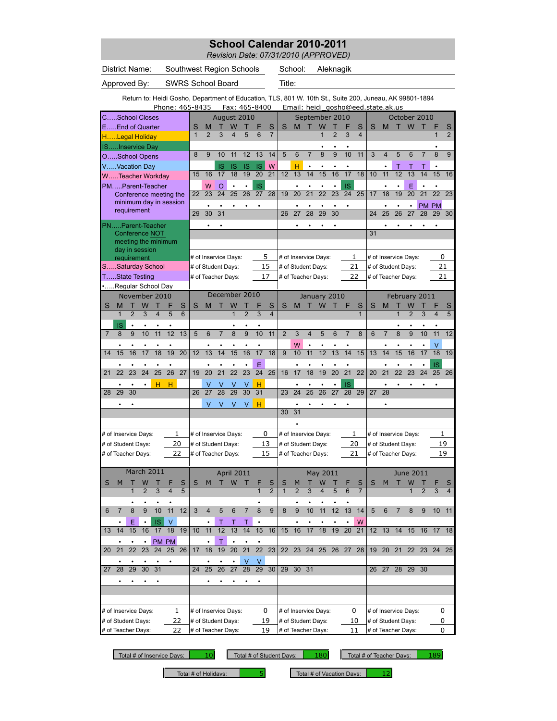*Revision Date: 07/31/2010 (APPROVED)*

| District Name:<br>Southwest Region Schools |                                               |                 |                                                                                                         |                          |                 |                 |              |                |                      |                         |                |                 |                | School:        |                      | Aleknagik       |                 |                |                 |                 |                 |                                    |                |                |                 |                 |                |
|--------------------------------------------|-----------------------------------------------|-----------------|---------------------------------------------------------------------------------------------------------|--------------------------|-----------------|-----------------|--------------|----------------|----------------------|-------------------------|----------------|-----------------|----------------|----------------|----------------------|-----------------|-----------------|----------------|-----------------|-----------------|-----------------|------------------------------------|----------------|----------------|-----------------|-----------------|----------------|
|                                            | Approved By:                                  |                 |                                                                                                         | <b>SWRS School Board</b> |                 |                 |              |                |                      |                         |                | Title:          |                |                |                      |                 |                 |                |                 |                 |                 |                                    |                |                |                 |                 |                |
|                                            |                                               |                 | Return to: Heidi Gosho, Department of Education, TLS, 801 W. 10th St., Suite 200, Juneau, AK 99801-1894 |                          |                 | Phone: 465-8435 |              |                |                      |                         |                | Fax: 465-8400   |                |                |                      |                 |                 |                |                 |                 |                 | Email: heidi gosho@eed.state.ak.us |                |                |                 |                 |                |
|                                            |                                               |                 | CSchool Closes                                                                                          |                          |                 |                 |              |                | August 2010          |                         |                |                 |                |                |                      |                 | September 2010  |                |                 |                 |                 |                                    |                | October 2010   |                 |                 |                |
|                                            |                                               |                 | EEnd of Quarter                                                                                         |                          |                 |                 | S            | M              |                      | W                       |                |                 | S              | S              | M                    | т               | W               |                |                 | S               | S               | M                                  | т              | W              |                 |                 | S              |
|                                            |                                               |                 | HLegal Holiday                                                                                          |                          |                 |                 | $\mathbf{1}$ | $\overline{2}$ | 3                    | $\overline{\mathbf{4}}$ | 5              | 6               | $\overline{7}$ |                |                      |                 | $\mathbf{1}$    | $\overline{2}$ | 3               | $\overline{4}$  |                 |                                    |                |                |                 | $\mathbf{1}$    | $\overline{2}$ |
|                                            |                                               |                 | ISInservice Day                                                                                         |                          |                 |                 |              |                |                      |                         |                |                 |                |                |                      |                 |                 |                |                 |                 |                 |                                    |                |                |                 |                 |                |
|                                            |                                               |                 | OSchool Opens                                                                                           |                          |                 |                 | 8            | 9              | 10                   | 11                      | 12             | 13              | 14             | 5              | 6                    | $\overline{7}$  | 8               | 9              | 10              | 11              | 3               | $\overline{4}$                     | 5              | 6              |                 | 8               | 9              |
|                                            |                                               |                 | VVacation Day                                                                                           |                          |                 |                 |              |                | <b>IS</b>            | <b>IS</b>               | <b>IS</b>      | <b>IS</b>       | W              |                | н                    |                 |                 |                |                 |                 |                 |                                    | т              | т              | т               |                 |                |
|                                            |                                               |                 | WTeacher Workday                                                                                        |                          |                 |                 | 15           | 16             | 17                   | 18                      | 19             | 20              | 21             | 12             | 13                   | 14              | 15              | 16             | 17              | 18              | 10              | 11                                 | 12             | 13             | 14              | 15              | 16             |
|                                            |                                               |                 | PMParent-Teacher                                                                                        |                          |                 |                 |              | W              | $\circ$              | $\bullet$               | $\bullet$      | <b>IS</b>       |                |                | $\bullet$            |                 |                 | $\bullet$      | <b>IS</b>       |                 |                 |                                    | $\bullet$      | E              |                 | $\bullet$       |                |
|                                            |                                               |                 | Conference meeting the<br>minimum day in session                                                        |                          |                 |                 | 22           | 23             | 24                   | 25                      | 26             | $\overline{27}$ | 28             | 19             | 20                   | $\overline{21}$ | $\overline{22}$ | 23             | $\overline{24}$ | $\overline{25}$ | 17              | 18                                 | 19             | 20             | $\overline{21}$ | $\overline{22}$ | 23             |
|                                            |                                               |                 | requirement                                                                                             |                          |                 |                 |              | ٠              |                      | ٠                       | $\bullet$      | ٠               |                |                |                      |                 |                 |                | $\bullet$       |                 |                 |                                    |                | $\bullet$      |                 | PM PM           |                |
|                                            |                                               |                 |                                                                                                         |                          |                 |                 | 29           | 30             | 31                   |                         |                |                 |                | 26             | 27                   | 28              | 29              | 30             |                 |                 | 24              | 25                                 | 26             | 27             | 28              | 29              | 30             |
|                                            |                                               |                 | PNParent-Teacher                                                                                        |                          |                 |                 |              |                |                      |                         |                |                 |                |                |                      |                 |                 |                |                 |                 |                 |                                    |                |                |                 |                 |                |
|                                            |                                               |                 | Conference NOT<br>meeting the minimum                                                                   |                          |                 |                 |              |                |                      |                         |                |                 |                |                |                      |                 |                 |                |                 |                 | 31              |                                    |                |                |                 |                 |                |
|                                            |                                               |                 | day in session                                                                                          |                          |                 |                 |              |                |                      |                         |                |                 |                |                |                      |                 |                 |                |                 |                 |                 |                                    |                |                |                 |                 |                |
|                                            |                                               |                 | requirement                                                                                             |                          |                 |                 |              |                | # of Inservice Days: |                         |                |                 | 5              |                | # of Inservice Days: |                 |                 |                | 1               |                 |                 | # of Inservice Days:               |                |                |                 | 0               |                |
|                                            |                                               |                 | SSaturday School                                                                                        |                          |                 |                 |              |                | # of Student Days:   |                         |                |                 | 15             |                | # of Student Days:   |                 |                 |                | 21              |                 |                 | # of Student Days:                 |                |                |                 | 21              |                |
|                                            |                                               |                 | TState Testing                                                                                          |                          |                 |                 |              |                | # of Teacher Days:   |                         |                |                 | 17             |                | # of Teacher Days:   |                 |                 |                |                 | 22              |                 | # of Teacher Days:                 |                |                |                 | 21              |                |
|                                            |                                               |                 | Regular School Day                                                                                      |                          |                 |                 |              |                |                      |                         |                |                 |                |                |                      |                 |                 |                |                 |                 |                 |                                    |                |                |                 |                 |                |
|                                            |                                               |                 | November 2010                                                                                           |                          |                 |                 |              |                | December 2010        |                         |                |                 |                |                |                      |                 | January 2010    |                |                 |                 |                 |                                    |                | February 2011  |                 |                 |                |
| S                                          | M                                             | т               | W                                                                                                       | т                        | F               | S               | S            | M              |                      | W                       |                | F               | S              | S              | M                    | т               | W               |                | F               | S               | S               | M                                  | т              | W              |                 | F               | S              |
|                                            | $\mathbf{1}$                                  | $\overline{2}$  | 3                                                                                                       | $\overline{4}$           | 5               | 6               |              |                |                      | 1                       | $\overline{2}$ | 3               | $\overline{4}$ |                |                      |                 |                 |                |                 | $\mathbf{1}$    |                 |                                    | 1              | $\overline{2}$ | 3               | $\overline{4}$  | 5              |
|                                            | IS                                            |                 |                                                                                                         |                          |                 |                 |              |                |                      |                         |                |                 |                |                |                      |                 |                 |                |                 |                 |                 |                                    |                |                |                 |                 |                |
| $\overline{7}$                             | 8                                             | 9               | 10                                                                                                      | 11                       | 12              | 13              | 5            | 6              | $\overline{7}$       | $\overline{8}$          | 9              | 10              | 11             | $\overline{2}$ | 3                    | 4               | 5               | 6              | $\overline{7}$  | 8               | 6               | $\overline{7}$                     | $\overline{8}$ | 9              | 10              | 11              | 12             |
|                                            |                                               |                 |                                                                                                         |                          |                 |                 |              |                |                      |                         |                |                 |                |                | W                    |                 |                 |                |                 |                 |                 |                                    |                |                |                 | ٧               |                |
| 14                                         | 15                                            | 16              | 17                                                                                                      | 18                       | 19              | $\overline{20}$ | 12           | 13             | 14                   | 15                      | 16             | 17              | 18             | 9              | 10                   | 11              | 12              | 13             | 14              | 15              | 13              | 14                                 | 15             | 16             | 17              | 18              | 19             |
|                                            |                                               |                 |                                                                                                         |                          |                 |                 |              |                |                      |                         |                | E               |                |                |                      |                 |                 |                |                 |                 |                 |                                    |                |                |                 | <b>IS</b>       |                |
| 21                                         | 22                                            | 23              | 24                                                                                                      | 25                       | $\overline{26}$ | $\overline{27}$ | 19           | 20             | 21                   | 22                      | 23             | $\overline{24}$ | 25             | 16             | 17                   | 18              | 19              | 20             | $\overline{21}$ | 22              | 20              | 21                                 | 22             | 23             | 24              | 25              | 26             |
|                                            |                                               |                 |                                                                                                         | H                        | н               |                 |              |                |                      |                         | ٧              | н               |                |                |                      |                 |                 |                | <b>IS</b>       |                 |                 |                                    |                |                |                 |                 |                |
| 28                                         | 29                                            | 30              |                                                                                                         |                          |                 |                 | 26           | 27             | 28                   | 29                      | 30             | 31              |                | 23             | 24                   | 25              | 26              | 27             | 28              | 29              | $\overline{27}$ | 28                                 |                |                |                 |                 |                |
|                                            |                                               |                 |                                                                                                         |                          |                 |                 |              | $\vee$         | V                    | $\vee$                  | V              | н               |                |                | $\bullet$            |                 |                 |                |                 |                 |                 |                                    |                |                |                 |                 |                |
|                                            |                                               |                 |                                                                                                         |                          |                 |                 |              |                |                      |                         |                |                 |                | 30             | 31                   |                 |                 |                |                 |                 |                 |                                    |                |                |                 |                 |                |
|                                            |                                               |                 |                                                                                                         |                          |                 |                 |              |                |                      |                         |                |                 |                |                |                      |                 |                 |                |                 |                 |                 |                                    |                |                |                 |                 |                |
|                                            |                                               |                 | # of Inservice Days:                                                                                    |                          |                 | 1               |              |                | # of Inservice Days: |                         |                |                 | 0              |                | # of Inservice Days: |                 |                 |                | 1               |                 |                 | # of Inservice Days:               |                |                |                 | 1               |                |
|                                            | # of Student Days:                            |                 |                                                                                                         |                          |                 | 20              |              |                | # of Student Days:   |                         |                |                 | 13             |                | # of Student Days:   |                 |                 |                |                 | 20              |                 | # of Student Days:                 |                |                |                 | 19              |                |
|                                            |                                               |                 | # of Teacher Days:                                                                                      |                          |                 | 22              |              |                | # of Teacher Days:   |                         |                |                 | 15             |                | # of Teacher Days:   |                 |                 |                | 21              |                 |                 | # of Teacher Days:                 |                |                |                 | 19              |                |
|                                            |                                               |                 |                                                                                                         |                          |                 |                 |              |                |                      |                         |                |                 |                |                |                      |                 |                 |                |                 |                 |                 |                                    |                |                |                 |                 |                |
|                                            |                                               |                 | March 2011                                                                                              |                          |                 |                 |              |                |                      | April 2011              |                |                 |                |                |                      |                 | May 2011        |                |                 |                 |                 |                                    |                | June 2011      |                 |                 |                |
| S                                          | M                                             | т               | W                                                                                                       |                          |                 | S               | S            | M              | т                    | W                       | т              |                 | S              | S              |                      | Т               | W               |                |                 | S               | S               | м                                  | т              | W              |                 |                 | S              |
|                                            |                                               |                 |                                                                                                         |                          |                 |                 |              |                |                      |                         |                |                 | $\overline{2}$ |                |                      | 3               |                 |                |                 |                 |                 |                                    |                |                |                 |                 | 4              |
|                                            |                                               |                 |                                                                                                         |                          |                 |                 |              |                |                      |                         |                |                 |                |                |                      |                 |                 |                |                 |                 |                 |                                    |                |                |                 |                 |                |
| 6                                          | 7                                             | 8               | 9                                                                                                       | 10                       | 11              | 12              | 3            | $\overline{4}$ | 5                    | 6                       | $\overline{7}$ | 8               | 9              | 8              | 9                    | 10              | 11              | 12             | 13              | 14              | 5               | 6                                  | $\overline{7}$ | 8              | 9               | 10              | 11             |
|                                            |                                               | E               |                                                                                                         | $\sf IS$                 | $\vee$          |                 |              |                | Т                    | Τ                       | Т              |                 |                |                |                      |                 |                 |                |                 | W               |                 |                                    |                |                |                 |                 |                |
| 13                                         | 14                                            | 15              | 16                                                                                                      | 17                       | 18              | 19              | 10           | 11             | 12                   | 13                      | 14             | 15              | 16             | 15             | 16                   | 17              | 18              | 19             | 20              | 21              |                 | $\overline{12}$ $\overline{13}$    | 14             | 15             | 16              | 17              | 18             |
|                                            |                                               |                 |                                                                                                         |                          | PM PM           |                 |              |                | т                    |                         |                |                 |                |                |                      |                 |                 |                |                 |                 |                 |                                    |                |                |                 |                 |                |
| 20 <sub>2</sub>                            | 21                                            | $\overline{22}$ | 23                                                                                                      | $\overline{24}$          |                 | 25 26           | 17           | 18             | 19                   | 20                      | 21             | 22              | 23             |                | 22 23 24             |                 | 25              | 26 27          |                 | 28              | 19              | 20                                 | 21             |                |                 | 22 23 24 25     |                |
|                                            | V<br>$\bullet$<br>$\bullet$<br>$\bullet$<br>٠ |                 |                                                                                                         |                          |                 | V               |              |                |                      |                         |                |                 |                |                |                      |                 |                 |                |                 |                 |                 |                                    |                |                |                 |                 |                |
| 27                                         | 28<br>29<br>30<br>31<br>25<br>26<br>24        |                 |                                                                                                         |                          | 27              | 28              | 29           | 30             | 29                   | 30 31                   |                |                 |                |                |                      | 26              | 27              |                | 28 29 30        |                 |                 |                                    |                |                |                 |                 |                |
|                                            |                                               |                 |                                                                                                         |                          |                 |                 |              |                |                      |                         |                |                 |                |                |                      |                 |                 |                |                 |                 |                 |                                    |                |                |                 |                 |                |
|                                            |                                               |                 |                                                                                                         |                          |                 |                 |              |                |                      |                         |                |                 |                |                |                      |                 |                 |                |                 |                 |                 |                                    |                |                |                 |                 |                |
|                                            |                                               |                 |                                                                                                         |                          |                 |                 |              |                |                      |                         |                |                 |                |                |                      |                 |                 |                |                 |                 |                 |                                    |                |                |                 |                 |                |
|                                            |                                               |                 | # of Inservice Days:                                                                                    |                          |                 | $\mathbf{1}$    |              |                | # of Inservice Days: |                         |                |                 | 0              |                | # of Inservice Days: |                 |                 |                | 0               |                 |                 | # of Inservice Days:               |                |                |                 | 0               |                |
|                                            | 22<br># of Student Days:                      |                 |                                                                                                         |                          |                 |                 |              |                | # of Student Days:   |                         |                |                 | 19             |                | # of Student Days:   |                 |                 |                |                 | 10              |                 | # of Student Days:                 |                |                |                 | 0               |                |
|                                            | # of Teacher Days:<br>22                      |                 |                                                                                                         |                          |                 |                 |              |                | # of Teacher Days:   |                         |                |                 | 19             |                | # of Teacher Days:   |                 |                 |                | 11              |                 |                 | # of Teacher Days:                 |                |                |                 | 0               |                |

Total # of Inservice Days:  $\begin{array}{|c|c|c|c|c|c|}\n\hline\n10 & 161 \text{ ft} & 180 & 180 \\
\hline\n\end{array}$  Total # of Teacher Days:  $\begin{array}{|c|c|c|c|c|}\n\hline\n189 & 189\n\end{array}$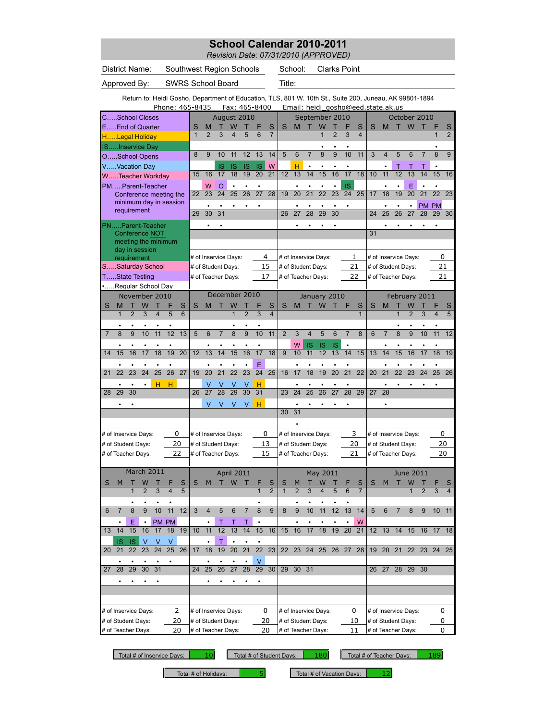*Revision Date: 07/31/2010 (APPROVED)*

| <b>SWRS School Board</b><br>Title:<br>Approved By:<br>Return to: Heidi Gosho, Department of Education, TLS, 801 W. 10th St., Suite 200, Juneau, AK 99801-1894<br>Phone: 465-8435<br>Fax: 465-8400<br>Email: heidi gosho@eed.state.ak.us<br>August 2010<br>September 2010<br>October 2010<br>CSchool Closes<br>W<br>EEnd of Quarter<br>W<br>S<br>S<br>М<br>W<br>F<br>S<br>M<br>т<br>S<br>т<br>S<br>т<br>S<br>M<br>$\overline{7}$<br>$\overline{2}$<br>$\mathbf{1}$<br>$\overline{2}$<br>3<br>4<br>5<br>6<br>$\overline{2}$<br>3<br>4<br>1<br>HLegal Holiday<br>ISInservice Day<br>$\overline{8}$<br>10<br>9<br>12<br>13<br>14<br>5<br>6<br>$\overline{7}$<br>9<br>11<br>3<br>5<br>6<br>8<br>9<br>8<br>10<br>11<br>$\overline{\mathbf{4}}$<br>7<br>OSchool Opens<br>W<br>н<br>VVacation Day<br><b>IS</b><br><b>IS</b><br>$\bullet$<br>т<br>$\bullet$<br>1S<br><b>IS</b><br>$\bullet$<br>$\bullet$<br>$\bullet$<br>Т<br>т<br>$\bullet$<br>13<br>14<br>15<br>17<br>18<br>11<br>12<br>13<br>14<br>16<br>17<br>18<br>19<br>20<br>21<br>12<br>16<br>10<br>15<br>15<br>16<br>WTeacher Workday<br><b>IS</b><br>E<br>PMParent-Teacher<br>W<br>O<br>23<br>24<br>26<br>27<br>28<br>20<br>21<br>22<br>23<br>24<br>25<br>18<br>19<br>20<br>21<br>22<br>23<br>22<br>25<br>19<br>17<br>Conference meeting the<br>minimum day in session<br>PM PM<br>requirement<br>27<br>28<br>29<br>29<br>30<br>31<br>26<br>29<br>30<br>24<br>25<br>26<br>27<br>28<br>30<br>PNParent-Teacher<br>31<br>Conference NOT<br>meeting the minimum<br>day in session<br>4<br>0<br># of Inservice Days:<br># of Inservice Days:<br>1<br># of Inservice Days:<br>requirement<br>15<br>21<br>21<br>SSaturday School<br># of Student Days:<br># of Student Days:<br># of Student Days:<br>TState Testing<br>17<br>22<br># of Teacher Days:<br># of Teacher Days:<br># of Teacher Days:<br>21<br>Regular School Day<br>December 2010<br>November 2010<br>January 2010<br>February 2011<br>S<br>W<br>S<br>S<br>S<br>S<br>S<br>M<br>M<br>W<br>М<br>w<br>S<br>М<br>S<br>$\overline{2}$<br>3<br>5<br>6<br>$\overline{\mathbf{4}}$<br>1<br>$\overline{4}$<br>$\overline{1}$<br>5<br>12<br>13<br>9<br>11<br>9<br>$\overline{7}$<br>8<br>9<br>11<br>5<br>6<br>8<br>10<br>$\overline{2}$<br>3<br>4<br>5<br>6<br>$\overline{7}$<br>8<br>6<br>8<br>10<br>11<br>12<br>10<br>$\overline{7}$<br>W<br><b>IS</b><br>IS<br>ΙS<br>19<br>20<br>13<br>16<br>17<br>18<br>9<br>11<br>12<br>13<br>15<br>17<br>18<br>12<br>14<br>15<br>10<br>14<br>15<br>13<br>14<br>18<br>19<br>14<br>16<br>15<br>16<br>17<br>E<br>23<br>23<br>24<br>25<br>26<br>$\overline{21}$<br>$\overline{22}$<br>24<br>20<br>21<br>22<br>27<br>19<br>20<br>25<br>16<br>17<br>18<br>19<br>22<br>20<br>21<br>22<br>23<br>25<br>26<br>24<br>21<br>н<br>н<br>$\bullet$<br>٧<br>н<br>v<br>٧<br>V<br>$\bullet$<br>27<br>28<br>29<br>30<br>31<br>25<br>26<br>27<br>28<br>29<br>30<br>24<br>29<br>27<br>28<br>28<br>26<br>23<br>V<br>V<br>V<br>V<br>н<br>31<br>30<br>0<br>0<br>3<br># of Inservice Days:<br>0<br># of Inservice Days:<br># of Inservice Days:<br># of Inservice Days:<br>13<br>20<br>20<br>20<br># of Student Days:<br># of Student Days:<br># of Student Days:<br># of Student Days:<br>15<br>22<br>21<br>20<br># of Teacher Days:<br># of Teacher Days:<br># of Teacher Days:<br># of Teacher Days:<br>March 2011<br>April 2011<br>May 2011<br>June 2011<br>W<br>S<br>т<br>W<br>Т<br>S<br>S<br>$\overline{\mathsf{S}}$<br>S<br>W<br>S<br>S<br>M<br>F<br>M<br>м<br>W<br>$\overline{2}$<br>4<br>5<br>2<br>3<br>5<br>6<br>$\overline{7}$<br>3<br>4<br>3<br>1<br>11<br>8<br>10<br>12<br>$\overline{7}$<br>$\overline{8}$<br>9<br>$\overline{8}$<br>9<br>10<br>12<br>13<br>9<br>3<br>$\overline{4}$<br>5<br>$6\phantom{1}$<br>11<br>14<br>5<br>$6\phantom{1}$<br>$\overline{7}$<br>8<br>9<br>10<br>11<br>6<br>$\overline{7}$<br>W<br>Ε<br>PM PM<br>т<br>т<br>15<br>18<br>14<br>15<br>16<br>17<br>10<br>11<br>12<br>13<br>14<br>16<br>15<br>16<br>17<br>19<br>20<br>13<br>18<br>19<br>21<br>$12 \t13$<br>14<br>15<br>16 17 18<br>IS<br><b>IS</b><br>V<br>V<br>V<br>$\overline{22}$<br>23<br>22<br>25<br>26<br>18<br>19<br>21<br>$\overline{22}$<br>23<br>24<br>26 27<br>28<br>19 20<br>21<br>22 23 24 25<br>21<br>23<br>24<br>17<br>20<br>25<br>20<br>V<br>25<br>27<br>28<br>29<br>29 30<br>28<br>29<br>30<br>31<br>26<br>30<br>29<br>30 31<br>26 27<br>28<br>24<br>27<br>0<br># of Inservice Days:<br>2<br># of Inservice Days:<br># of Inservice Days:<br>0<br># of Inservice Days:<br>0<br>20<br># of Student Days:<br># of Student Days:<br>20<br># of Student Days:<br>10<br># of Student Days:<br>0<br># of Teacher Days:<br>20<br># of Teacher Days:<br># of Teacher Days:<br>0<br>11 | District Name:     | Southwest Region Schools |  |  |  |  |  |  |  | School: |  | <b>Clarks Point</b> |  |  |  |  |  |
|-------------------------------------------------------------------------------------------------------------------------------------------------------------------------------------------------------------------------------------------------------------------------------------------------------------------------------------------------------------------------------------------------------------------------------------------------------------------------------------------------------------------------------------------------------------------------------------------------------------------------------------------------------------------------------------------------------------------------------------------------------------------------------------------------------------------------------------------------------------------------------------------------------------------------------------------------------------------------------------------------------------------------------------------------------------------------------------------------------------------------------------------------------------------------------------------------------------------------------------------------------------------------------------------------------------------------------------------------------------------------------------------------------------------------------------------------------------------------------------------------------------------------------------------------------------------------------------------------------------------------------------------------------------------------------------------------------------------------------------------------------------------------------------------------------------------------------------------------------------------------------------------------------------------------------------------------------------------------------------------------------------------------------------------------------------------------------------------------------------------------------------------------------------------------------------------------------------------------------------------------------------------------------------------------------------------------------------------------------------------------------------------------------------------------------------------------------------------------------------------------------------------------------------------------------------------------------------------------------------------------------------------------------------------------------------------------------------------------------------------------------------------------------------------------------------------------------------------------------------------------------------------------------------------------------------------------------------------------------------------------------------------------------------------------------------------------------------------------------------------------------------------------------------------------------------------------------------------------------------------------------------------------------------------------------------------------------------------------------------------------------------------------------------------------------------------------------------------------------------------------------------------------------------------------------------------------------------------------------------------------------------------------------------------------------------------------------------------------------------------------------------------------------------------------------------------------------------------------------------------------------------------------------------------------------------------------------------------------------------------------------------------------------------------------------------------------------------------------------------------------------------------------------------------------------------------------------------------------------------------------------------------------------------------------------------------------------------------------------------------------------------------------------------------------------------------------------------------------------------------------------------------------------------------------------------------------------------------------------------------------------------------------------------------------------------------------------|--------------------|--------------------------|--|--|--|--|--|--|--|---------|--|---------------------|--|--|--|--|--|
|                                                                                                                                                                                                                                                                                                                                                                                                                                                                                                                                                                                                                                                                                                                                                                                                                                                                                                                                                                                                                                                                                                                                                                                                                                                                                                                                                                                                                                                                                                                                                                                                                                                                                                                                                                                                                                                                                                                                                                                                                                                                                                                                                                                                                                                                                                                                                                                                                                                                                                                                                                                                                                                                                                                                                                                                                                                                                                                                                                                                                                                                                                                                                                                                                                                                                                                                                                                                                                                                                                                                                                                                                                                                                                                                                                                                                                                                                                                                                                                                                                                                                                                                                                                                                                                                                                                                                                                                                                                                                                                                                                                                                                                                                                       |                    |                          |  |  |  |  |  |  |  |         |  |                     |  |  |  |  |  |
|                                                                                                                                                                                                                                                                                                                                                                                                                                                                                                                                                                                                                                                                                                                                                                                                                                                                                                                                                                                                                                                                                                                                                                                                                                                                                                                                                                                                                                                                                                                                                                                                                                                                                                                                                                                                                                                                                                                                                                                                                                                                                                                                                                                                                                                                                                                                                                                                                                                                                                                                                                                                                                                                                                                                                                                                                                                                                                                                                                                                                                                                                                                                                                                                                                                                                                                                                                                                                                                                                                                                                                                                                                                                                                                                                                                                                                                                                                                                                                                                                                                                                                                                                                                                                                                                                                                                                                                                                                                                                                                                                                                                                                                                                                       |                    |                          |  |  |  |  |  |  |  |         |  |                     |  |  |  |  |  |
|                                                                                                                                                                                                                                                                                                                                                                                                                                                                                                                                                                                                                                                                                                                                                                                                                                                                                                                                                                                                                                                                                                                                                                                                                                                                                                                                                                                                                                                                                                                                                                                                                                                                                                                                                                                                                                                                                                                                                                                                                                                                                                                                                                                                                                                                                                                                                                                                                                                                                                                                                                                                                                                                                                                                                                                                                                                                                                                                                                                                                                                                                                                                                                                                                                                                                                                                                                                                                                                                                                                                                                                                                                                                                                                                                                                                                                                                                                                                                                                                                                                                                                                                                                                                                                                                                                                                                                                                                                                                                                                                                                                                                                                                                                       |                    |                          |  |  |  |  |  |  |  |         |  |                     |  |  |  |  |  |
|                                                                                                                                                                                                                                                                                                                                                                                                                                                                                                                                                                                                                                                                                                                                                                                                                                                                                                                                                                                                                                                                                                                                                                                                                                                                                                                                                                                                                                                                                                                                                                                                                                                                                                                                                                                                                                                                                                                                                                                                                                                                                                                                                                                                                                                                                                                                                                                                                                                                                                                                                                                                                                                                                                                                                                                                                                                                                                                                                                                                                                                                                                                                                                                                                                                                                                                                                                                                                                                                                                                                                                                                                                                                                                                                                                                                                                                                                                                                                                                                                                                                                                                                                                                                                                                                                                                                                                                                                                                                                                                                                                                                                                                                                                       |                    |                          |  |  |  |  |  |  |  |         |  |                     |  |  |  |  |  |
|                                                                                                                                                                                                                                                                                                                                                                                                                                                                                                                                                                                                                                                                                                                                                                                                                                                                                                                                                                                                                                                                                                                                                                                                                                                                                                                                                                                                                                                                                                                                                                                                                                                                                                                                                                                                                                                                                                                                                                                                                                                                                                                                                                                                                                                                                                                                                                                                                                                                                                                                                                                                                                                                                                                                                                                                                                                                                                                                                                                                                                                                                                                                                                                                                                                                                                                                                                                                                                                                                                                                                                                                                                                                                                                                                                                                                                                                                                                                                                                                                                                                                                                                                                                                                                                                                                                                                                                                                                                                                                                                                                                                                                                                                                       |                    |                          |  |  |  |  |  |  |  |         |  |                     |  |  |  |  |  |
|                                                                                                                                                                                                                                                                                                                                                                                                                                                                                                                                                                                                                                                                                                                                                                                                                                                                                                                                                                                                                                                                                                                                                                                                                                                                                                                                                                                                                                                                                                                                                                                                                                                                                                                                                                                                                                                                                                                                                                                                                                                                                                                                                                                                                                                                                                                                                                                                                                                                                                                                                                                                                                                                                                                                                                                                                                                                                                                                                                                                                                                                                                                                                                                                                                                                                                                                                                                                                                                                                                                                                                                                                                                                                                                                                                                                                                                                                                                                                                                                                                                                                                                                                                                                                                                                                                                                                                                                                                                                                                                                                                                                                                                                                                       |                    |                          |  |  |  |  |  |  |  |         |  |                     |  |  |  |  |  |
|                                                                                                                                                                                                                                                                                                                                                                                                                                                                                                                                                                                                                                                                                                                                                                                                                                                                                                                                                                                                                                                                                                                                                                                                                                                                                                                                                                                                                                                                                                                                                                                                                                                                                                                                                                                                                                                                                                                                                                                                                                                                                                                                                                                                                                                                                                                                                                                                                                                                                                                                                                                                                                                                                                                                                                                                                                                                                                                                                                                                                                                                                                                                                                                                                                                                                                                                                                                                                                                                                                                                                                                                                                                                                                                                                                                                                                                                                                                                                                                                                                                                                                                                                                                                                                                                                                                                                                                                                                                                                                                                                                                                                                                                                                       |                    |                          |  |  |  |  |  |  |  |         |  |                     |  |  |  |  |  |
|                                                                                                                                                                                                                                                                                                                                                                                                                                                                                                                                                                                                                                                                                                                                                                                                                                                                                                                                                                                                                                                                                                                                                                                                                                                                                                                                                                                                                                                                                                                                                                                                                                                                                                                                                                                                                                                                                                                                                                                                                                                                                                                                                                                                                                                                                                                                                                                                                                                                                                                                                                                                                                                                                                                                                                                                                                                                                                                                                                                                                                                                                                                                                                                                                                                                                                                                                                                                                                                                                                                                                                                                                                                                                                                                                                                                                                                                                                                                                                                                                                                                                                                                                                                                                                                                                                                                                                                                                                                                                                                                                                                                                                                                                                       |                    |                          |  |  |  |  |  |  |  |         |  |                     |  |  |  |  |  |
|                                                                                                                                                                                                                                                                                                                                                                                                                                                                                                                                                                                                                                                                                                                                                                                                                                                                                                                                                                                                                                                                                                                                                                                                                                                                                                                                                                                                                                                                                                                                                                                                                                                                                                                                                                                                                                                                                                                                                                                                                                                                                                                                                                                                                                                                                                                                                                                                                                                                                                                                                                                                                                                                                                                                                                                                                                                                                                                                                                                                                                                                                                                                                                                                                                                                                                                                                                                                                                                                                                                                                                                                                                                                                                                                                                                                                                                                                                                                                                                                                                                                                                                                                                                                                                                                                                                                                                                                                                                                                                                                                                                                                                                                                                       |                    |                          |  |  |  |  |  |  |  |         |  |                     |  |  |  |  |  |
|                                                                                                                                                                                                                                                                                                                                                                                                                                                                                                                                                                                                                                                                                                                                                                                                                                                                                                                                                                                                                                                                                                                                                                                                                                                                                                                                                                                                                                                                                                                                                                                                                                                                                                                                                                                                                                                                                                                                                                                                                                                                                                                                                                                                                                                                                                                                                                                                                                                                                                                                                                                                                                                                                                                                                                                                                                                                                                                                                                                                                                                                                                                                                                                                                                                                                                                                                                                                                                                                                                                                                                                                                                                                                                                                                                                                                                                                                                                                                                                                                                                                                                                                                                                                                                                                                                                                                                                                                                                                                                                                                                                                                                                                                                       |                    |                          |  |  |  |  |  |  |  |         |  |                     |  |  |  |  |  |
|                                                                                                                                                                                                                                                                                                                                                                                                                                                                                                                                                                                                                                                                                                                                                                                                                                                                                                                                                                                                                                                                                                                                                                                                                                                                                                                                                                                                                                                                                                                                                                                                                                                                                                                                                                                                                                                                                                                                                                                                                                                                                                                                                                                                                                                                                                                                                                                                                                                                                                                                                                                                                                                                                                                                                                                                                                                                                                                                                                                                                                                                                                                                                                                                                                                                                                                                                                                                                                                                                                                                                                                                                                                                                                                                                                                                                                                                                                                                                                                                                                                                                                                                                                                                                                                                                                                                                                                                                                                                                                                                                                                                                                                                                                       |                    |                          |  |  |  |  |  |  |  |         |  |                     |  |  |  |  |  |
|                                                                                                                                                                                                                                                                                                                                                                                                                                                                                                                                                                                                                                                                                                                                                                                                                                                                                                                                                                                                                                                                                                                                                                                                                                                                                                                                                                                                                                                                                                                                                                                                                                                                                                                                                                                                                                                                                                                                                                                                                                                                                                                                                                                                                                                                                                                                                                                                                                                                                                                                                                                                                                                                                                                                                                                                                                                                                                                                                                                                                                                                                                                                                                                                                                                                                                                                                                                                                                                                                                                                                                                                                                                                                                                                                                                                                                                                                                                                                                                                                                                                                                                                                                                                                                                                                                                                                                                                                                                                                                                                                                                                                                                                                                       |                    |                          |  |  |  |  |  |  |  |         |  |                     |  |  |  |  |  |
|                                                                                                                                                                                                                                                                                                                                                                                                                                                                                                                                                                                                                                                                                                                                                                                                                                                                                                                                                                                                                                                                                                                                                                                                                                                                                                                                                                                                                                                                                                                                                                                                                                                                                                                                                                                                                                                                                                                                                                                                                                                                                                                                                                                                                                                                                                                                                                                                                                                                                                                                                                                                                                                                                                                                                                                                                                                                                                                                                                                                                                                                                                                                                                                                                                                                                                                                                                                                                                                                                                                                                                                                                                                                                                                                                                                                                                                                                                                                                                                                                                                                                                                                                                                                                                                                                                                                                                                                                                                                                                                                                                                                                                                                                                       |                    |                          |  |  |  |  |  |  |  |         |  |                     |  |  |  |  |  |
|                                                                                                                                                                                                                                                                                                                                                                                                                                                                                                                                                                                                                                                                                                                                                                                                                                                                                                                                                                                                                                                                                                                                                                                                                                                                                                                                                                                                                                                                                                                                                                                                                                                                                                                                                                                                                                                                                                                                                                                                                                                                                                                                                                                                                                                                                                                                                                                                                                                                                                                                                                                                                                                                                                                                                                                                                                                                                                                                                                                                                                                                                                                                                                                                                                                                                                                                                                                                                                                                                                                                                                                                                                                                                                                                                                                                                                                                                                                                                                                                                                                                                                                                                                                                                                                                                                                                                                                                                                                                                                                                                                                                                                                                                                       |                    |                          |  |  |  |  |  |  |  |         |  |                     |  |  |  |  |  |
|                                                                                                                                                                                                                                                                                                                                                                                                                                                                                                                                                                                                                                                                                                                                                                                                                                                                                                                                                                                                                                                                                                                                                                                                                                                                                                                                                                                                                                                                                                                                                                                                                                                                                                                                                                                                                                                                                                                                                                                                                                                                                                                                                                                                                                                                                                                                                                                                                                                                                                                                                                                                                                                                                                                                                                                                                                                                                                                                                                                                                                                                                                                                                                                                                                                                                                                                                                                                                                                                                                                                                                                                                                                                                                                                                                                                                                                                                                                                                                                                                                                                                                                                                                                                                                                                                                                                                                                                                                                                                                                                                                                                                                                                                                       |                    |                          |  |  |  |  |  |  |  |         |  |                     |  |  |  |  |  |
|                                                                                                                                                                                                                                                                                                                                                                                                                                                                                                                                                                                                                                                                                                                                                                                                                                                                                                                                                                                                                                                                                                                                                                                                                                                                                                                                                                                                                                                                                                                                                                                                                                                                                                                                                                                                                                                                                                                                                                                                                                                                                                                                                                                                                                                                                                                                                                                                                                                                                                                                                                                                                                                                                                                                                                                                                                                                                                                                                                                                                                                                                                                                                                                                                                                                                                                                                                                                                                                                                                                                                                                                                                                                                                                                                                                                                                                                                                                                                                                                                                                                                                                                                                                                                                                                                                                                                                                                                                                                                                                                                                                                                                                                                                       |                    |                          |  |  |  |  |  |  |  |         |  |                     |  |  |  |  |  |
|                                                                                                                                                                                                                                                                                                                                                                                                                                                                                                                                                                                                                                                                                                                                                                                                                                                                                                                                                                                                                                                                                                                                                                                                                                                                                                                                                                                                                                                                                                                                                                                                                                                                                                                                                                                                                                                                                                                                                                                                                                                                                                                                                                                                                                                                                                                                                                                                                                                                                                                                                                                                                                                                                                                                                                                                                                                                                                                                                                                                                                                                                                                                                                                                                                                                                                                                                                                                                                                                                                                                                                                                                                                                                                                                                                                                                                                                                                                                                                                                                                                                                                                                                                                                                                                                                                                                                                                                                                                                                                                                                                                                                                                                                                       |                    |                          |  |  |  |  |  |  |  |         |  |                     |  |  |  |  |  |
|                                                                                                                                                                                                                                                                                                                                                                                                                                                                                                                                                                                                                                                                                                                                                                                                                                                                                                                                                                                                                                                                                                                                                                                                                                                                                                                                                                                                                                                                                                                                                                                                                                                                                                                                                                                                                                                                                                                                                                                                                                                                                                                                                                                                                                                                                                                                                                                                                                                                                                                                                                                                                                                                                                                                                                                                                                                                                                                                                                                                                                                                                                                                                                                                                                                                                                                                                                                                                                                                                                                                                                                                                                                                                                                                                                                                                                                                                                                                                                                                                                                                                                                                                                                                                                                                                                                                                                                                                                                                                                                                                                                                                                                                                                       |                    |                          |  |  |  |  |  |  |  |         |  |                     |  |  |  |  |  |
|                                                                                                                                                                                                                                                                                                                                                                                                                                                                                                                                                                                                                                                                                                                                                                                                                                                                                                                                                                                                                                                                                                                                                                                                                                                                                                                                                                                                                                                                                                                                                                                                                                                                                                                                                                                                                                                                                                                                                                                                                                                                                                                                                                                                                                                                                                                                                                                                                                                                                                                                                                                                                                                                                                                                                                                                                                                                                                                                                                                                                                                                                                                                                                                                                                                                                                                                                                                                                                                                                                                                                                                                                                                                                                                                                                                                                                                                                                                                                                                                                                                                                                                                                                                                                                                                                                                                                                                                                                                                                                                                                                                                                                                                                                       |                    |                          |  |  |  |  |  |  |  |         |  |                     |  |  |  |  |  |
|                                                                                                                                                                                                                                                                                                                                                                                                                                                                                                                                                                                                                                                                                                                                                                                                                                                                                                                                                                                                                                                                                                                                                                                                                                                                                                                                                                                                                                                                                                                                                                                                                                                                                                                                                                                                                                                                                                                                                                                                                                                                                                                                                                                                                                                                                                                                                                                                                                                                                                                                                                                                                                                                                                                                                                                                                                                                                                                                                                                                                                                                                                                                                                                                                                                                                                                                                                                                                                                                                                                                                                                                                                                                                                                                                                                                                                                                                                                                                                                                                                                                                                                                                                                                                                                                                                                                                                                                                                                                                                                                                                                                                                                                                                       |                    |                          |  |  |  |  |  |  |  |         |  |                     |  |  |  |  |  |
|                                                                                                                                                                                                                                                                                                                                                                                                                                                                                                                                                                                                                                                                                                                                                                                                                                                                                                                                                                                                                                                                                                                                                                                                                                                                                                                                                                                                                                                                                                                                                                                                                                                                                                                                                                                                                                                                                                                                                                                                                                                                                                                                                                                                                                                                                                                                                                                                                                                                                                                                                                                                                                                                                                                                                                                                                                                                                                                                                                                                                                                                                                                                                                                                                                                                                                                                                                                                                                                                                                                                                                                                                                                                                                                                                                                                                                                                                                                                                                                                                                                                                                                                                                                                                                                                                                                                                                                                                                                                                                                                                                                                                                                                                                       |                    |                          |  |  |  |  |  |  |  |         |  |                     |  |  |  |  |  |
|                                                                                                                                                                                                                                                                                                                                                                                                                                                                                                                                                                                                                                                                                                                                                                                                                                                                                                                                                                                                                                                                                                                                                                                                                                                                                                                                                                                                                                                                                                                                                                                                                                                                                                                                                                                                                                                                                                                                                                                                                                                                                                                                                                                                                                                                                                                                                                                                                                                                                                                                                                                                                                                                                                                                                                                                                                                                                                                                                                                                                                                                                                                                                                                                                                                                                                                                                                                                                                                                                                                                                                                                                                                                                                                                                                                                                                                                                                                                                                                                                                                                                                                                                                                                                                                                                                                                                                                                                                                                                                                                                                                                                                                                                                       |                    |                          |  |  |  |  |  |  |  |         |  |                     |  |  |  |  |  |
|                                                                                                                                                                                                                                                                                                                                                                                                                                                                                                                                                                                                                                                                                                                                                                                                                                                                                                                                                                                                                                                                                                                                                                                                                                                                                                                                                                                                                                                                                                                                                                                                                                                                                                                                                                                                                                                                                                                                                                                                                                                                                                                                                                                                                                                                                                                                                                                                                                                                                                                                                                                                                                                                                                                                                                                                                                                                                                                                                                                                                                                                                                                                                                                                                                                                                                                                                                                                                                                                                                                                                                                                                                                                                                                                                                                                                                                                                                                                                                                                                                                                                                                                                                                                                                                                                                                                                                                                                                                                                                                                                                                                                                                                                                       |                    |                          |  |  |  |  |  |  |  |         |  |                     |  |  |  |  |  |
|                                                                                                                                                                                                                                                                                                                                                                                                                                                                                                                                                                                                                                                                                                                                                                                                                                                                                                                                                                                                                                                                                                                                                                                                                                                                                                                                                                                                                                                                                                                                                                                                                                                                                                                                                                                                                                                                                                                                                                                                                                                                                                                                                                                                                                                                                                                                                                                                                                                                                                                                                                                                                                                                                                                                                                                                                                                                                                                                                                                                                                                                                                                                                                                                                                                                                                                                                                                                                                                                                                                                                                                                                                                                                                                                                                                                                                                                                                                                                                                                                                                                                                                                                                                                                                                                                                                                                                                                                                                                                                                                                                                                                                                                                                       |                    |                          |  |  |  |  |  |  |  |         |  |                     |  |  |  |  |  |
|                                                                                                                                                                                                                                                                                                                                                                                                                                                                                                                                                                                                                                                                                                                                                                                                                                                                                                                                                                                                                                                                                                                                                                                                                                                                                                                                                                                                                                                                                                                                                                                                                                                                                                                                                                                                                                                                                                                                                                                                                                                                                                                                                                                                                                                                                                                                                                                                                                                                                                                                                                                                                                                                                                                                                                                                                                                                                                                                                                                                                                                                                                                                                                                                                                                                                                                                                                                                                                                                                                                                                                                                                                                                                                                                                                                                                                                                                                                                                                                                                                                                                                                                                                                                                                                                                                                                                                                                                                                                                                                                                                                                                                                                                                       |                    |                          |  |  |  |  |  |  |  |         |  |                     |  |  |  |  |  |
|                                                                                                                                                                                                                                                                                                                                                                                                                                                                                                                                                                                                                                                                                                                                                                                                                                                                                                                                                                                                                                                                                                                                                                                                                                                                                                                                                                                                                                                                                                                                                                                                                                                                                                                                                                                                                                                                                                                                                                                                                                                                                                                                                                                                                                                                                                                                                                                                                                                                                                                                                                                                                                                                                                                                                                                                                                                                                                                                                                                                                                                                                                                                                                                                                                                                                                                                                                                                                                                                                                                                                                                                                                                                                                                                                                                                                                                                                                                                                                                                                                                                                                                                                                                                                                                                                                                                                                                                                                                                                                                                                                                                                                                                                                       |                    |                          |  |  |  |  |  |  |  |         |  |                     |  |  |  |  |  |
|                                                                                                                                                                                                                                                                                                                                                                                                                                                                                                                                                                                                                                                                                                                                                                                                                                                                                                                                                                                                                                                                                                                                                                                                                                                                                                                                                                                                                                                                                                                                                                                                                                                                                                                                                                                                                                                                                                                                                                                                                                                                                                                                                                                                                                                                                                                                                                                                                                                                                                                                                                                                                                                                                                                                                                                                                                                                                                                                                                                                                                                                                                                                                                                                                                                                                                                                                                                                                                                                                                                                                                                                                                                                                                                                                                                                                                                                                                                                                                                                                                                                                                                                                                                                                                                                                                                                                                                                                                                                                                                                                                                                                                                                                                       |                    |                          |  |  |  |  |  |  |  |         |  |                     |  |  |  |  |  |
|                                                                                                                                                                                                                                                                                                                                                                                                                                                                                                                                                                                                                                                                                                                                                                                                                                                                                                                                                                                                                                                                                                                                                                                                                                                                                                                                                                                                                                                                                                                                                                                                                                                                                                                                                                                                                                                                                                                                                                                                                                                                                                                                                                                                                                                                                                                                                                                                                                                                                                                                                                                                                                                                                                                                                                                                                                                                                                                                                                                                                                                                                                                                                                                                                                                                                                                                                                                                                                                                                                                                                                                                                                                                                                                                                                                                                                                                                                                                                                                                                                                                                                                                                                                                                                                                                                                                                                                                                                                                                                                                                                                                                                                                                                       |                    |                          |  |  |  |  |  |  |  |         |  |                     |  |  |  |  |  |
|                                                                                                                                                                                                                                                                                                                                                                                                                                                                                                                                                                                                                                                                                                                                                                                                                                                                                                                                                                                                                                                                                                                                                                                                                                                                                                                                                                                                                                                                                                                                                                                                                                                                                                                                                                                                                                                                                                                                                                                                                                                                                                                                                                                                                                                                                                                                                                                                                                                                                                                                                                                                                                                                                                                                                                                                                                                                                                                                                                                                                                                                                                                                                                                                                                                                                                                                                                                                                                                                                                                                                                                                                                                                                                                                                                                                                                                                                                                                                                                                                                                                                                                                                                                                                                                                                                                                                                                                                                                                                                                                                                                                                                                                                                       |                    |                          |  |  |  |  |  |  |  |         |  |                     |  |  |  |  |  |
|                                                                                                                                                                                                                                                                                                                                                                                                                                                                                                                                                                                                                                                                                                                                                                                                                                                                                                                                                                                                                                                                                                                                                                                                                                                                                                                                                                                                                                                                                                                                                                                                                                                                                                                                                                                                                                                                                                                                                                                                                                                                                                                                                                                                                                                                                                                                                                                                                                                                                                                                                                                                                                                                                                                                                                                                                                                                                                                                                                                                                                                                                                                                                                                                                                                                                                                                                                                                                                                                                                                                                                                                                                                                                                                                                                                                                                                                                                                                                                                                                                                                                                                                                                                                                                                                                                                                                                                                                                                                                                                                                                                                                                                                                                       |                    |                          |  |  |  |  |  |  |  |         |  |                     |  |  |  |  |  |
|                                                                                                                                                                                                                                                                                                                                                                                                                                                                                                                                                                                                                                                                                                                                                                                                                                                                                                                                                                                                                                                                                                                                                                                                                                                                                                                                                                                                                                                                                                                                                                                                                                                                                                                                                                                                                                                                                                                                                                                                                                                                                                                                                                                                                                                                                                                                                                                                                                                                                                                                                                                                                                                                                                                                                                                                                                                                                                                                                                                                                                                                                                                                                                                                                                                                                                                                                                                                                                                                                                                                                                                                                                                                                                                                                                                                                                                                                                                                                                                                                                                                                                                                                                                                                                                                                                                                                                                                                                                                                                                                                                                                                                                                                                       |                    |                          |  |  |  |  |  |  |  |         |  |                     |  |  |  |  |  |
|                                                                                                                                                                                                                                                                                                                                                                                                                                                                                                                                                                                                                                                                                                                                                                                                                                                                                                                                                                                                                                                                                                                                                                                                                                                                                                                                                                                                                                                                                                                                                                                                                                                                                                                                                                                                                                                                                                                                                                                                                                                                                                                                                                                                                                                                                                                                                                                                                                                                                                                                                                                                                                                                                                                                                                                                                                                                                                                                                                                                                                                                                                                                                                                                                                                                                                                                                                                                                                                                                                                                                                                                                                                                                                                                                                                                                                                                                                                                                                                                                                                                                                                                                                                                                                                                                                                                                                                                                                                                                                                                                                                                                                                                                                       |                    |                          |  |  |  |  |  |  |  |         |  |                     |  |  |  |  |  |
|                                                                                                                                                                                                                                                                                                                                                                                                                                                                                                                                                                                                                                                                                                                                                                                                                                                                                                                                                                                                                                                                                                                                                                                                                                                                                                                                                                                                                                                                                                                                                                                                                                                                                                                                                                                                                                                                                                                                                                                                                                                                                                                                                                                                                                                                                                                                                                                                                                                                                                                                                                                                                                                                                                                                                                                                                                                                                                                                                                                                                                                                                                                                                                                                                                                                                                                                                                                                                                                                                                                                                                                                                                                                                                                                                                                                                                                                                                                                                                                                                                                                                                                                                                                                                                                                                                                                                                                                                                                                                                                                                                                                                                                                                                       |                    |                          |  |  |  |  |  |  |  |         |  |                     |  |  |  |  |  |
|                                                                                                                                                                                                                                                                                                                                                                                                                                                                                                                                                                                                                                                                                                                                                                                                                                                                                                                                                                                                                                                                                                                                                                                                                                                                                                                                                                                                                                                                                                                                                                                                                                                                                                                                                                                                                                                                                                                                                                                                                                                                                                                                                                                                                                                                                                                                                                                                                                                                                                                                                                                                                                                                                                                                                                                                                                                                                                                                                                                                                                                                                                                                                                                                                                                                                                                                                                                                                                                                                                                                                                                                                                                                                                                                                                                                                                                                                                                                                                                                                                                                                                                                                                                                                                                                                                                                                                                                                                                                                                                                                                                                                                                                                                       |                    |                          |  |  |  |  |  |  |  |         |  |                     |  |  |  |  |  |
|                                                                                                                                                                                                                                                                                                                                                                                                                                                                                                                                                                                                                                                                                                                                                                                                                                                                                                                                                                                                                                                                                                                                                                                                                                                                                                                                                                                                                                                                                                                                                                                                                                                                                                                                                                                                                                                                                                                                                                                                                                                                                                                                                                                                                                                                                                                                                                                                                                                                                                                                                                                                                                                                                                                                                                                                                                                                                                                                                                                                                                                                                                                                                                                                                                                                                                                                                                                                                                                                                                                                                                                                                                                                                                                                                                                                                                                                                                                                                                                                                                                                                                                                                                                                                                                                                                                                                                                                                                                                                                                                                                                                                                                                                                       |                    |                          |  |  |  |  |  |  |  |         |  |                     |  |  |  |  |  |
|                                                                                                                                                                                                                                                                                                                                                                                                                                                                                                                                                                                                                                                                                                                                                                                                                                                                                                                                                                                                                                                                                                                                                                                                                                                                                                                                                                                                                                                                                                                                                                                                                                                                                                                                                                                                                                                                                                                                                                                                                                                                                                                                                                                                                                                                                                                                                                                                                                                                                                                                                                                                                                                                                                                                                                                                                                                                                                                                                                                                                                                                                                                                                                                                                                                                                                                                                                                                                                                                                                                                                                                                                                                                                                                                                                                                                                                                                                                                                                                                                                                                                                                                                                                                                                                                                                                                                                                                                                                                                                                                                                                                                                                                                                       |                    |                          |  |  |  |  |  |  |  |         |  |                     |  |  |  |  |  |
|                                                                                                                                                                                                                                                                                                                                                                                                                                                                                                                                                                                                                                                                                                                                                                                                                                                                                                                                                                                                                                                                                                                                                                                                                                                                                                                                                                                                                                                                                                                                                                                                                                                                                                                                                                                                                                                                                                                                                                                                                                                                                                                                                                                                                                                                                                                                                                                                                                                                                                                                                                                                                                                                                                                                                                                                                                                                                                                                                                                                                                                                                                                                                                                                                                                                                                                                                                                                                                                                                                                                                                                                                                                                                                                                                                                                                                                                                                                                                                                                                                                                                                                                                                                                                                                                                                                                                                                                                                                                                                                                                                                                                                                                                                       |                    |                          |  |  |  |  |  |  |  |         |  |                     |  |  |  |  |  |
|                                                                                                                                                                                                                                                                                                                                                                                                                                                                                                                                                                                                                                                                                                                                                                                                                                                                                                                                                                                                                                                                                                                                                                                                                                                                                                                                                                                                                                                                                                                                                                                                                                                                                                                                                                                                                                                                                                                                                                                                                                                                                                                                                                                                                                                                                                                                                                                                                                                                                                                                                                                                                                                                                                                                                                                                                                                                                                                                                                                                                                                                                                                                                                                                                                                                                                                                                                                                                                                                                                                                                                                                                                                                                                                                                                                                                                                                                                                                                                                                                                                                                                                                                                                                                                                                                                                                                                                                                                                                                                                                                                                                                                                                                                       |                    |                          |  |  |  |  |  |  |  |         |  |                     |  |  |  |  |  |
|                                                                                                                                                                                                                                                                                                                                                                                                                                                                                                                                                                                                                                                                                                                                                                                                                                                                                                                                                                                                                                                                                                                                                                                                                                                                                                                                                                                                                                                                                                                                                                                                                                                                                                                                                                                                                                                                                                                                                                                                                                                                                                                                                                                                                                                                                                                                                                                                                                                                                                                                                                                                                                                                                                                                                                                                                                                                                                                                                                                                                                                                                                                                                                                                                                                                                                                                                                                                                                                                                                                                                                                                                                                                                                                                                                                                                                                                                                                                                                                                                                                                                                                                                                                                                                                                                                                                                                                                                                                                                                                                                                                                                                                                                                       |                    |                          |  |  |  |  |  |  |  |         |  |                     |  |  |  |  |  |
|                                                                                                                                                                                                                                                                                                                                                                                                                                                                                                                                                                                                                                                                                                                                                                                                                                                                                                                                                                                                                                                                                                                                                                                                                                                                                                                                                                                                                                                                                                                                                                                                                                                                                                                                                                                                                                                                                                                                                                                                                                                                                                                                                                                                                                                                                                                                                                                                                                                                                                                                                                                                                                                                                                                                                                                                                                                                                                                                                                                                                                                                                                                                                                                                                                                                                                                                                                                                                                                                                                                                                                                                                                                                                                                                                                                                                                                                                                                                                                                                                                                                                                                                                                                                                                                                                                                                                                                                                                                                                                                                                                                                                                                                                                       |                    |                          |  |  |  |  |  |  |  |         |  |                     |  |  |  |  |  |
|                                                                                                                                                                                                                                                                                                                                                                                                                                                                                                                                                                                                                                                                                                                                                                                                                                                                                                                                                                                                                                                                                                                                                                                                                                                                                                                                                                                                                                                                                                                                                                                                                                                                                                                                                                                                                                                                                                                                                                                                                                                                                                                                                                                                                                                                                                                                                                                                                                                                                                                                                                                                                                                                                                                                                                                                                                                                                                                                                                                                                                                                                                                                                                                                                                                                                                                                                                                                                                                                                                                                                                                                                                                                                                                                                                                                                                                                                                                                                                                                                                                                                                                                                                                                                                                                                                                                                                                                                                                                                                                                                                                                                                                                                                       |                    |                          |  |  |  |  |  |  |  |         |  |                     |  |  |  |  |  |
|                                                                                                                                                                                                                                                                                                                                                                                                                                                                                                                                                                                                                                                                                                                                                                                                                                                                                                                                                                                                                                                                                                                                                                                                                                                                                                                                                                                                                                                                                                                                                                                                                                                                                                                                                                                                                                                                                                                                                                                                                                                                                                                                                                                                                                                                                                                                                                                                                                                                                                                                                                                                                                                                                                                                                                                                                                                                                                                                                                                                                                                                                                                                                                                                                                                                                                                                                                                                                                                                                                                                                                                                                                                                                                                                                                                                                                                                                                                                                                                                                                                                                                                                                                                                                                                                                                                                                                                                                                                                                                                                                                                                                                                                                                       |                    |                          |  |  |  |  |  |  |  |         |  |                     |  |  |  |  |  |
|                                                                                                                                                                                                                                                                                                                                                                                                                                                                                                                                                                                                                                                                                                                                                                                                                                                                                                                                                                                                                                                                                                                                                                                                                                                                                                                                                                                                                                                                                                                                                                                                                                                                                                                                                                                                                                                                                                                                                                                                                                                                                                                                                                                                                                                                                                                                                                                                                                                                                                                                                                                                                                                                                                                                                                                                                                                                                                                                                                                                                                                                                                                                                                                                                                                                                                                                                                                                                                                                                                                                                                                                                                                                                                                                                                                                                                                                                                                                                                                                                                                                                                                                                                                                                                                                                                                                                                                                                                                                                                                                                                                                                                                                                                       |                    |                          |  |  |  |  |  |  |  |         |  |                     |  |  |  |  |  |
|                                                                                                                                                                                                                                                                                                                                                                                                                                                                                                                                                                                                                                                                                                                                                                                                                                                                                                                                                                                                                                                                                                                                                                                                                                                                                                                                                                                                                                                                                                                                                                                                                                                                                                                                                                                                                                                                                                                                                                                                                                                                                                                                                                                                                                                                                                                                                                                                                                                                                                                                                                                                                                                                                                                                                                                                                                                                                                                                                                                                                                                                                                                                                                                                                                                                                                                                                                                                                                                                                                                                                                                                                                                                                                                                                                                                                                                                                                                                                                                                                                                                                                                                                                                                                                                                                                                                                                                                                                                                                                                                                                                                                                                                                                       |                    |                          |  |  |  |  |  |  |  |         |  |                     |  |  |  |  |  |
|                                                                                                                                                                                                                                                                                                                                                                                                                                                                                                                                                                                                                                                                                                                                                                                                                                                                                                                                                                                                                                                                                                                                                                                                                                                                                                                                                                                                                                                                                                                                                                                                                                                                                                                                                                                                                                                                                                                                                                                                                                                                                                                                                                                                                                                                                                                                                                                                                                                                                                                                                                                                                                                                                                                                                                                                                                                                                                                                                                                                                                                                                                                                                                                                                                                                                                                                                                                                                                                                                                                                                                                                                                                                                                                                                                                                                                                                                                                                                                                                                                                                                                                                                                                                                                                                                                                                                                                                                                                                                                                                                                                                                                                                                                       |                    |                          |  |  |  |  |  |  |  |         |  |                     |  |  |  |  |  |
|                                                                                                                                                                                                                                                                                                                                                                                                                                                                                                                                                                                                                                                                                                                                                                                                                                                                                                                                                                                                                                                                                                                                                                                                                                                                                                                                                                                                                                                                                                                                                                                                                                                                                                                                                                                                                                                                                                                                                                                                                                                                                                                                                                                                                                                                                                                                                                                                                                                                                                                                                                                                                                                                                                                                                                                                                                                                                                                                                                                                                                                                                                                                                                                                                                                                                                                                                                                                                                                                                                                                                                                                                                                                                                                                                                                                                                                                                                                                                                                                                                                                                                                                                                                                                                                                                                                                                                                                                                                                                                                                                                                                                                                                                                       |                    |                          |  |  |  |  |  |  |  |         |  |                     |  |  |  |  |  |
|                                                                                                                                                                                                                                                                                                                                                                                                                                                                                                                                                                                                                                                                                                                                                                                                                                                                                                                                                                                                                                                                                                                                                                                                                                                                                                                                                                                                                                                                                                                                                                                                                                                                                                                                                                                                                                                                                                                                                                                                                                                                                                                                                                                                                                                                                                                                                                                                                                                                                                                                                                                                                                                                                                                                                                                                                                                                                                                                                                                                                                                                                                                                                                                                                                                                                                                                                                                                                                                                                                                                                                                                                                                                                                                                                                                                                                                                                                                                                                                                                                                                                                                                                                                                                                                                                                                                                                                                                                                                                                                                                                                                                                                                                                       |                    |                          |  |  |  |  |  |  |  |         |  |                     |  |  |  |  |  |
|                                                                                                                                                                                                                                                                                                                                                                                                                                                                                                                                                                                                                                                                                                                                                                                                                                                                                                                                                                                                                                                                                                                                                                                                                                                                                                                                                                                                                                                                                                                                                                                                                                                                                                                                                                                                                                                                                                                                                                                                                                                                                                                                                                                                                                                                                                                                                                                                                                                                                                                                                                                                                                                                                                                                                                                                                                                                                                                                                                                                                                                                                                                                                                                                                                                                                                                                                                                                                                                                                                                                                                                                                                                                                                                                                                                                                                                                                                                                                                                                                                                                                                                                                                                                                                                                                                                                                                                                                                                                                                                                                                                                                                                                                                       |                    |                          |  |  |  |  |  |  |  |         |  |                     |  |  |  |  |  |
|                                                                                                                                                                                                                                                                                                                                                                                                                                                                                                                                                                                                                                                                                                                                                                                                                                                                                                                                                                                                                                                                                                                                                                                                                                                                                                                                                                                                                                                                                                                                                                                                                                                                                                                                                                                                                                                                                                                                                                                                                                                                                                                                                                                                                                                                                                                                                                                                                                                                                                                                                                                                                                                                                                                                                                                                                                                                                                                                                                                                                                                                                                                                                                                                                                                                                                                                                                                                                                                                                                                                                                                                                                                                                                                                                                                                                                                                                                                                                                                                                                                                                                                                                                                                                                                                                                                                                                                                                                                                                                                                                                                                                                                                                                       |                    |                          |  |  |  |  |  |  |  |         |  |                     |  |  |  |  |  |
|                                                                                                                                                                                                                                                                                                                                                                                                                                                                                                                                                                                                                                                                                                                                                                                                                                                                                                                                                                                                                                                                                                                                                                                                                                                                                                                                                                                                                                                                                                                                                                                                                                                                                                                                                                                                                                                                                                                                                                                                                                                                                                                                                                                                                                                                                                                                                                                                                                                                                                                                                                                                                                                                                                                                                                                                                                                                                                                                                                                                                                                                                                                                                                                                                                                                                                                                                                                                                                                                                                                                                                                                                                                                                                                                                                                                                                                                                                                                                                                                                                                                                                                                                                                                                                                                                                                                                                                                                                                                                                                                                                                                                                                                                                       |                    |                          |  |  |  |  |  |  |  |         |  |                     |  |  |  |  |  |
|                                                                                                                                                                                                                                                                                                                                                                                                                                                                                                                                                                                                                                                                                                                                                                                                                                                                                                                                                                                                                                                                                                                                                                                                                                                                                                                                                                                                                                                                                                                                                                                                                                                                                                                                                                                                                                                                                                                                                                                                                                                                                                                                                                                                                                                                                                                                                                                                                                                                                                                                                                                                                                                                                                                                                                                                                                                                                                                                                                                                                                                                                                                                                                                                                                                                                                                                                                                                                                                                                                                                                                                                                                                                                                                                                                                                                                                                                                                                                                                                                                                                                                                                                                                                                                                                                                                                                                                                                                                                                                                                                                                                                                                                                                       | # of Teacher Days: | 20                       |  |  |  |  |  |  |  |         |  |                     |  |  |  |  |  |

Total # of Inservice Days:  $\begin{array}{|c|c|c|c|c|c|}\n\hline\n10 & 161 \text{ ft} & 180 & 180 \\
\hline\n\end{array}$  Total # of Teacher Days:  $\begin{array}{|c|c|c|c|c|}\n\hline\n189 & 189\n\end{array}$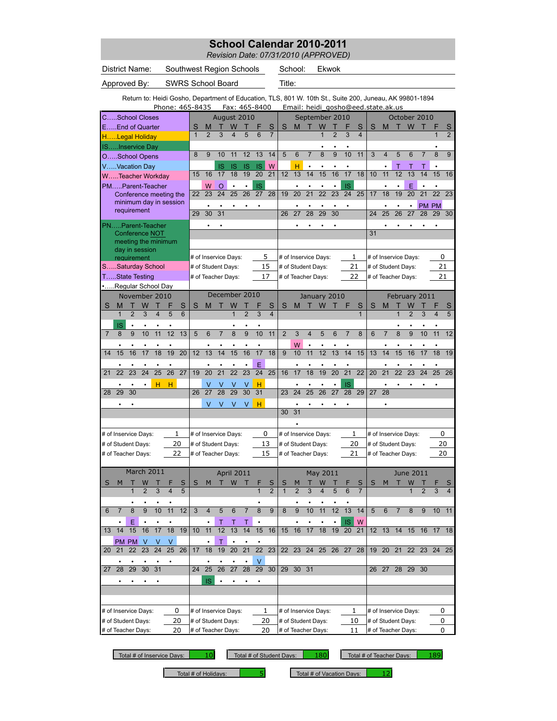*Revision Date: 07/31/2010 (APPROVED)*

| District Name:                                                                                          | Southwest Region Schools |    |                       |                         |                |                 |                         |                    | School:        |                    | Ekwok                |                |                                    |                         |    |                      |                |                |                 |                         |                         |
|---------------------------------------------------------------------------------------------------------|--------------------------|----|-----------------------|-------------------------|----------------|-----------------|-------------------------|--------------------|----------------|--------------------|----------------------|----------------|------------------------------------|-------------------------|----|----------------------|----------------|----------------|-----------------|-------------------------|-------------------------|
| Approved By:                                                                                            | <b>SWRS School Board</b> |    |                       |                         |                |                 |                         |                    |                |                    |                      |                |                                    |                         |    |                      |                |                |                 |                         |                         |
| Return to: Heidi Gosho, Department of Education, TLS, 801 W. 10th St., Suite 200, Juneau, AK 99801-1894 | Phone: 465-8435          |    |                       | Fax: 465-8400           |                |                 |                         |                    |                |                    |                      |                | Email: heidi qosho@eed.state.ak.us |                         |    |                      |                |                |                 |                         |                         |
| CSchool Closes                                                                                          |                          |    |                       | August 2010             |                |                 |                         |                    |                |                    | September 2010       |                |                                    |                         |    |                      |                | October 2010   |                 |                         |                         |
| EEnd of Quarter                                                                                         |                          | S  | M                     | W                       |                |                 | S                       | S                  | M              |                    | W                    |                |                                    | S                       | S  | M                    |                | W              |                 |                         |                         |
| HLegal Holiday                                                                                          |                          | 1  | $\overline{2}$<br>3   | $\overline{\mathbf{4}}$ | 5              | 6               | $\overline{7}$          |                    |                |                    | $\overline{1}$       | $\overline{2}$ | 3                                  | $\overline{\mathbf{4}}$ |    |                      |                |                |                 | $\overline{1}$          | $\overline{2}$          |
| ISInservice Day                                                                                         |                          |    |                       |                         |                |                 |                         |                    |                |                    |                      |                |                                    |                         |    |                      |                |                |                 |                         |                         |
| OSchool Opens                                                                                           |                          | 8  | 10<br>9               | 11                      | 12             | 13              | 14                      | 5                  | $\overline{6}$ | $\overline{7}$     | 8                    | 9              | 10                                 | 11                      | 3  | $\overline{4}$       | 5              | 6              |                 | 8                       | $\overline{9}$          |
| VVacation Day                                                                                           |                          |    | IS                    | <b>IS</b>               | <b>IS</b>      | <b>IS</b>       | W                       |                    | н              | $\bullet$          |                      |                |                                    |                         |    |                      | т              | Т              | т               |                         |                         |
| WTeacher Workday                                                                                        |                          | 15 | 16<br>17              | 18                      | 19             | $\overline{20}$ | 21                      | 12                 | 13             | 14                 | 15                   | 16             | 17                                 | 18                      | 10 | 11                   | 12             | 13             | 14              | 15                      | 16                      |
| PMParent-Teacher                                                                                        |                          |    | W<br>$\circ$          | $\bullet$               | $\bullet$      | <b>IS</b>       |                         |                    | $\bullet$      | $\bullet$          |                      | $\bullet$      | <b>IS</b>                          |                         |    | $\bullet$            | $\bullet$      | E              | $\bullet$       | $\bullet$               |                         |
| Conference meeting the                                                                                  |                          | 22 | 23<br>24              | 25                      | 26             | $\overline{27}$ | 28                      | 19                 | 20             | $\overline{21}$    | $\overline{22}$      | 23             | 24                                 | 25                      | 17 | $\overline{18}$      | 19             | 20             | $\overline{21}$ | $\overline{22}$         | 23                      |
| minimum day in session                                                                                  |                          |    |                       |                         |                | ٠               |                         |                    |                |                    |                      |                |                                    |                         |    |                      |                |                |                 | PM PM                   |                         |
| requirement                                                                                             |                          | 29 | 30<br>31              |                         |                |                 |                         | 26                 | 27             | 28                 | 29                   | 30             |                                    |                         | 24 | 25                   | 26             | 27             | 28              | 29                      | 30                      |
| PNParent-Teacher                                                                                        |                          |    |                       |                         |                |                 |                         |                    |                |                    |                      |                |                                    |                         |    |                      |                |                |                 |                         |                         |
| Conference NOT                                                                                          |                          |    |                       |                         |                |                 |                         |                    |                |                    |                      |                |                                    |                         | 31 |                      |                |                |                 |                         |                         |
| meeting the minimum                                                                                     |                          |    |                       |                         |                |                 |                         |                    |                |                    |                      |                |                                    |                         |    |                      |                |                |                 |                         |                         |
| day in session                                                                                          |                          |    |                       |                         |                |                 |                         |                    |                |                    |                      |                |                                    |                         |    |                      |                |                |                 |                         |                         |
| requirement                                                                                             |                          |    | # of Inservice Days:  |                         |                | 5               |                         |                    |                |                    | # of Inservice Days: |                | 1                                  |                         |    | # of Inservice Days: |                |                |                 | 0                       |                         |
| SSaturday School                                                                                        |                          |    | # of Student Days:    |                         |                |                 | 15                      | # of Student Days: |                |                    |                      |                | 21                                 |                         |    | # of Student Days:   |                |                |                 | 21                      |                         |
| TState Testing                                                                                          |                          |    | # of Teacher Days:    |                         |                | 17              |                         |                    |                | # of Teacher Days: |                      |                | 22                                 |                         |    | # of Teacher Days:   |                |                |                 | 21                      |                         |
| Regular School Day                                                                                      |                          |    |                       |                         |                |                 |                         |                    |                |                    |                      |                |                                    |                         |    |                      |                |                |                 |                         |                         |
| November 2010                                                                                           |                          |    | December 2010         |                         |                |                 |                         |                    |                |                    | January 2010         |                |                                    |                         |    |                      |                | February 2011  |                 |                         |                         |
| S<br>M<br>Т<br>W<br>т                                                                                   | S<br>F                   | S  | M<br>т                | W                       |                | F               | S                       | S                  | M              | т                  | W                    | т              | F                                  | S                       | S  | M                    | т              | W              |                 | F                       | S                       |
| $\overline{2}$<br>3<br>$\overline{\mathbf{4}}$<br>1                                                     | 5<br>6                   |    |                       | $\mathbf{1}$            | $\overline{2}$ | 3               | $\overline{\mathbf{4}}$ |                    |                |                    |                      |                |                                    | $\overline{1}$          |    |                      | 1              | $\overline{2}$ | 3               | $\overline{\mathbf{4}}$ | 5                       |
| IS                                                                                                      |                          |    |                       |                         |                |                 |                         |                    |                |                    |                      |                |                                    |                         |    |                      |                |                |                 |                         |                         |
| $\overline{9}$<br>10<br>11<br>$\mathsf{R}$<br>$\overline{7}$                                            | 12<br>13                 | 5  | 6<br>$\overline{7}$   | $\overline{8}$          | $\overline{9}$ | 10              | 11                      | $\overline{2}$     | 3              | 4                  | 5                    | 6              | $\overline{7}$                     | $\overline{8}$          | 6  | $\overline{7}$       | $\overline{8}$ | 9              | 10              | 11                      | 12                      |
|                                                                                                         |                          |    |                       |                         |                |                 |                         |                    | W              |                    |                      |                |                                    |                         |    |                      |                |                |                 |                         |                         |
| 15<br>16<br>17<br>18<br>14                                                                              | 19<br>20                 | 12 | 13<br>14              | 15                      | 16             | 17              | 18                      | 9                  | 10             | 11                 | 12                   | 13             | 14                                 | 15                      | 13 | 14                   | 15             | 16             | 17              | 18                      | 19                      |
|                                                                                                         |                          |    |                       |                         |                | Ë               |                         |                    |                |                    |                      |                |                                    |                         |    |                      |                |                |                 |                         |                         |
| 23<br>24<br>25<br>22<br>21                                                                              | 26<br>27                 | 19 | 20<br>$\overline{21}$ | $\overline{22}$         | 23             | $\overline{24}$ | 25                      | 16                 | 17             | 18                 | 19                   | 20             | 21                                 | 22                      | 20 | 21                   | 22             | 23             | 24              | 25                      | 26                      |
| н                                                                                                       | н                        |    |                       |                         |                | н               |                         |                    |                |                    |                      |                | <b>IS</b>                          |                         |    |                      |                |                |                 |                         |                         |
| 29<br>30<br>28                                                                                          |                          | 26 | $\overline{27}$<br>28 | 29                      | 30             | 31              |                         | 23                 | 24             | $\overline{25}$    | 26                   | 27             | 28                                 | 29                      | 27 | 28                   |                |                |                 |                         |                         |
|                                                                                                         |                          |    | V<br>V                | V                       | V              | н               |                         |                    | $\bullet$      |                    |                      |                |                                    |                         |    |                      |                |                |                 |                         |                         |
|                                                                                                         |                          |    |                       |                         |                |                 |                         | 30                 | 31             |                    |                      |                |                                    |                         |    |                      |                |                |                 |                         |                         |
|                                                                                                         |                          |    |                       |                         |                |                 |                         |                    |                |                    |                      |                |                                    |                         |    |                      |                |                |                 |                         |                         |
| # of Inservice Days:                                                                                    | 1                        |    | # of Inservice Days:  |                         |                | 0               |                         |                    |                |                    | # of Inservice Days: |                | 1                                  |                         |    | # of Inservice Days: |                |                |                 | 0                       |                         |
| # of Student Days:                                                                                      | 20                       |    | # of Student Days:    |                         |                |                 | 13                      | # of Student Days: |                |                    |                      |                | 20                                 |                         |    | # of Student Days:   |                |                |                 | 20                      |                         |
| # of Teacher Days:                                                                                      | 22                       |    | # of Teacher Days:    |                         |                |                 | 15                      | # of Teacher Days: |                |                    |                      |                | 21                                 |                         |    | # of Teacher Days:   |                |                |                 | 20                      |                         |
|                                                                                                         |                          |    |                       |                         |                |                 |                         |                    |                |                    |                      |                |                                    |                         |    |                      |                |                |                 |                         |                         |
| March 2011                                                                                              |                          |    |                       | April 2011              |                |                 |                         |                    |                |                    | May 2011             |                |                                    |                         |    |                      |                | June 2011      |                 |                         |                         |
| W<br>S<br>м                                                                                             |                          | S  | М                     | W                       |                |                 | S                       | S                  |                |                    | W                    |                |                                    | S                       | S  |                      |                | W              |                 |                         |                         |
| 3<br>2                                                                                                  | 5<br>4                   |    |                       |                         |                | $\mathbf{1}$    | $\overline{2}$          | $\mathbf{1}$       | $\overline{2}$ | 3                  | 4                    | 5              | 6                                  | $\overline{7}$          |    |                      |                | 1              | $\overline{2}$  | 3                       | $\overline{\mathbf{4}}$ |
|                                                                                                         |                          |    |                       |                         |                |                 |                         |                    |                |                    |                      |                |                                    |                         |    |                      |                |                |                 |                         |                         |
| 10<br>6<br>8<br>9<br>7                                                                                  | 11<br>12                 | 3  | 4<br>5                | 6                       | 7              | 8               | 9                       | 8                  | 9              | 10                 | 11                   | 12             | 13                                 | 14                      | 5  | 6                    | 7              | 8              | 9               | 10                      | 11                      |
|                                                                                                         |                          |    |                       |                         |                |                 |                         |                    |                |                    |                      |                |                                    |                         |    |                      |                |                |                 |                         |                         |
| Ε<br>14<br>15<br>16<br>17<br>13                                                                         | 18<br>19                 | 10 | Τ<br>11<br>12         | Τ<br>13                 | Τ<br>14        | 15              | 16                      | 15                 | 16             | 17                 | 18                   | 19             | <b>IS</b><br>20                    | W<br>21                 |    | $12$ 13              | 14             | 15             | 16              | 17 18                   |                         |
|                                                                                                         |                          |    |                       |                         |                |                 |                         |                    |                |                    |                      |                |                                    |                         |    |                      |                |                |                 |                         |                         |
| PM PM<br>V<br>٧<br>23<br>$\overline{24}$                                                                | V<br>25                  |    | т                     | $\bullet$               | 21             | $\overline{22}$ | 23                      |                    |                |                    |                      |                |                                    |                         |    |                      |                |                |                 |                         |                         |
| 22<br>20<br>21                                                                                          | 26                       | 17 | 18<br>19              | $\overline{20}$         |                |                 |                         | 22                 |                |                    | 23 24 25 26 27       |                |                                    | 28                      | 19 |                      |                |                |                 | 20 21 22 23 24 25       |                         |
|                                                                                                         | 25<br>24                 |    |                       |                         |                | ٧               |                         |                    |                |                    |                      |                |                                    |                         |    |                      |                |                |                 |                         |                         |
| 28<br>29<br>30<br>31<br>27                                                                              | 26                       | 27 | 28                    | 29                      | 30             | 29              | 30 31                   |                    |                |                    |                      |                |                                    | 26 27                   |    | 28 29 30             |                |                |                 |                         |                         |
|                                                                                                         | IS                       |    |                       |                         |                |                 |                         |                    |                |                    |                      |                |                                    |                         |    |                      |                |                |                 |                         |                         |
|                                                                                                         |                          |    |                       |                         |                |                 |                         |                    |                |                    |                      |                |                                    |                         |    |                      |                |                |                 |                         |                         |
|                                                                                                         |                          |    |                       |                         |                |                 |                         |                    |                |                    |                      |                |                                    |                         |    |                      |                |                |                 |                         |                         |
| # of Inservice Days:                                                                                    | 0                        |    | # of Inservice Days:  |                         |                | 1               |                         |                    |                |                    | # of Inservice Days: |                | 1                                  |                         |    | # of Inservice Days: |                |                |                 | 0                       |                         |
| # of Student Days:                                                                                      | 20                       |    | # of Student Days:    |                         |                | 20              |                         |                    |                | # of Student Days: |                      |                | 10                                 |                         |    | # of Student Days:   |                |                |                 | 0                       |                         |
| # of Teacher Days:                                                                                      | 20                       |    | # of Teacher Days:    |                         |                |                 | 20                      |                    |                | # of Teacher Days: |                      |                | 11                                 |                         |    | # of Teacher Days:   |                |                |                 | 0                       |                         |

ı

Total # of Inservice Days: | 10| Total # of Student Days: | 180| Total # of Teacher Days: | 189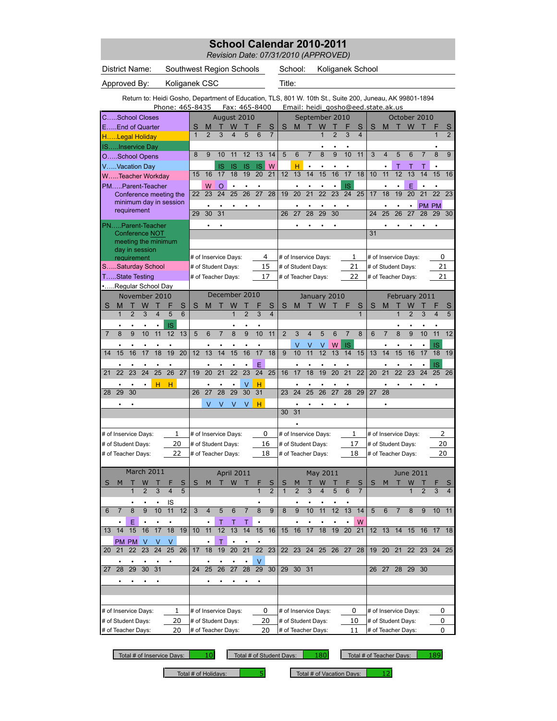*Revision Date: 07/31/2010 (APPROVED)*

| District Name:                                                                                          | Southwest Region Schools |              |                       |                   |                 |                      |                     |                | School:              |                 |                 |                 | Koliganek School                   |                   |                 |                |                      |                     |                 |                         |                |
|---------------------------------------------------------------------------------------------------------|--------------------------|--------------|-----------------------|-------------------|-----------------|----------------------|---------------------|----------------|----------------------|-----------------|-----------------|-----------------|------------------------------------|-------------------|-----------------|----------------|----------------------|---------------------|-----------------|-------------------------|----------------|
| Approved By:                                                                                            |                          |              |                       | Title:            |                 |                      |                     |                |                      |                 |                 |                 |                                    |                   |                 |                |                      |                     |                 |                         |                |
| Return to: Heidi Gosho, Department of Education, TLS, 801 W. 10th St., Suite 200, Juneau, AK 99801-1894 | Phone: 465-8435          |              |                       | Fax: 465-8400     |                 |                      |                     |                |                      |                 |                 |                 | Email: heidi gosho@eed.state.ak.us |                   |                 |                |                      |                     |                 |                         |                |
| CSchool Closes                                                                                          |                          |              |                       | August 2010       |                 |                      |                     |                |                      |                 | September 2010  |                 |                                    |                   |                 |                | October 2010         |                     |                 |                         |                |
| EEnd of Quarter                                                                                         |                          | S            | M<br>т                | W                 | т               | F                    | S                   | S              | M                    | т               | W               | т               | F                                  | S                 | S               | M              | $\top$               | <b>W</b>            |                 | F                       | S              |
| HLegal Holiday                                                                                          |                          | $\mathbf{1}$ | $\overline{2}$<br>3   | 4                 | 5               | 6                    | $\overline{7}$      |                |                      |                 | 1               | $\overline{2}$  | 3                                  | $\overline{4}$    |                 |                |                      |                     |                 | 1                       | $\overline{2}$ |
| ISInservice Day                                                                                         |                          |              |                       |                   |                 |                      |                     |                |                      |                 |                 |                 |                                    |                   |                 |                |                      |                     |                 |                         |                |
| OSchool Opens                                                                                           |                          | 8            | 9<br>10               | 11                | 12              | 13                   | 14                  | 5              | 6                    | $\overline{7}$  | 8               | 9               | 10                                 | 11                | 3               | 4              | 5                    | 6                   | $\overline{7}$  | 8                       | 9              |
| VVacation Day                                                                                           |                          |              | IS                    | IS                | IS              | IS                   | W                   |                | н                    | $\bullet$       |                 |                 |                                    |                   |                 |                | т                    |                     |                 |                         |                |
| WTeacher Workdav                                                                                        |                          | 15           | 17<br>16              | 18                | 19              | $\overline{20}$      | 21                  | 12             | 13                   | 14              | 15              | 16              | 17                                 | 18                | 10              | 11             | 12                   | 13                  | 14              | 15                      | 16             |
| PMParent-Teacher                                                                                        |                          |              | W<br>O                | $\bullet$         |                 |                      |                     |                | ٠                    |                 |                 |                 | <b>IS</b>                          |                   |                 |                |                      | Е                   |                 | ٠                       |                |
| Conference meeting the                                                                                  |                          | 22           | $\overline{24}$<br>23 | 25                | 26              | 27                   | 28                  | 19             | 20                   | $\overline{21}$ | $\overline{22}$ | 23              | 24                                 | 25                | 17              | 18             | 19                   | $\overline{20}$     | $\overline{21}$ | 22                      | 23             |
| minimum day in session                                                                                  |                          |              |                       |                   |                 |                      |                     |                |                      |                 |                 |                 |                                    |                   |                 |                |                      |                     |                 | PM PM                   |                |
| requirement                                                                                             |                          | 29           | 30<br>31              |                   |                 |                      |                     | 26             | 27                   | 28              | 29              | 30              |                                    |                   | 24              | 25             | 26                   | 27                  | 28              | 29                      | 30             |
| PNParent-Teacher                                                                                        |                          |              |                       |                   |                 |                      |                     |                |                      |                 |                 |                 |                                    |                   |                 |                |                      |                     |                 |                         |                |
| Conference NOT                                                                                          |                          |              |                       |                   |                 |                      |                     |                |                      |                 |                 |                 |                                    |                   | 31              |                |                      |                     |                 |                         |                |
| meeting the minimum                                                                                     |                          |              |                       |                   |                 |                      |                     |                |                      |                 |                 |                 |                                    |                   |                 |                |                      |                     |                 |                         |                |
| day in session<br>requirement                                                                           |                          |              | # of Inservice Days:  |                   |                 |                      | 4                   |                | # of Inservice Days: |                 |                 |                 | 1                                  |                   |                 |                | # of Inservice Days: |                     |                 | 0                       |                |
| SSaturday School                                                                                        |                          |              | # of Student Days:    |                   |                 |                      | 15                  |                | # of Student Days:   |                 |                 |                 | 21                                 |                   |                 |                | # of Student Days:   |                     |                 | 21                      |                |
| TState Testing                                                                                          |                          |              |                       |                   |                 |                      | 17                  |                | # of Teacher Days:   |                 |                 |                 | 22                                 |                   |                 |                | # of Teacher Days:   |                     |                 | 21                      |                |
|                                                                                                         |                          |              | # of Teacher Days:    |                   |                 |                      |                     |                |                      |                 |                 |                 |                                    |                   |                 |                |                      |                     |                 |                         |                |
| Regular School Dav<br>November 2010                                                                     |                          |              | December 2010         |                   |                 |                      |                     |                |                      |                 | January 2010    |                 |                                    |                   |                 |                |                      |                     |                 |                         |                |
|                                                                                                         |                          |              |                       |                   |                 |                      |                     |                |                      |                 |                 |                 |                                    |                   |                 |                | February 2011        |                     |                 |                         |                |
| S<br>M<br>W<br>т<br>Т<br>$\overline{2}$<br>3<br>$\overline{4}$<br>$\mathbf{1}$                          | F<br>S<br>5<br>6         | S            | M                     | W<br>$\mathbf{1}$ | $\overline{2}$  | 3                    | S<br>$\overline{4}$ | S              | M                    |                 | W               |                 | F                                  | S<br>$\mathbf{1}$ | S               | M              | $\overline{1}$       | W<br>$\overline{2}$ | 3               | $\overline{\mathbf{4}}$ | S<br>5         |
|                                                                                                         |                          |              |                       |                   |                 |                      |                     |                |                      |                 |                 |                 |                                    |                   |                 |                |                      |                     |                 |                         |                |
| 9<br>10<br>8<br>11<br>7                                                                                 | IS<br>12<br>13           | 5            | 6<br>$\overline{7}$   | 8                 | 9               | 10                   | 11                  | $\overline{2}$ | 3                    | $\overline{4}$  | 5               | 6               | $\overline{7}$                     | 8                 | 6               | $\overline{7}$ | 8                    | 9                   | 10              | 11                      | 12             |
|                                                                                                         |                          |              |                       |                   |                 |                      |                     |                |                      |                 |                 |                 |                                    |                   |                 |                |                      |                     |                 |                         |                |
| 15<br>16<br>17<br>18<br>14                                                                              | 19<br>20                 | 12           | 13<br>14              | 15                | 16              | 17                   | 18                  | 9              | ٧<br>10              | V<br>11         | ٧<br>12         | W<br>13         | <b>IS</b><br>14                    | 15                | 13              | 14             | 15                   | 16                  | $\bullet$<br>17 | IS<br>18                | 19             |
|                                                                                                         |                          |              |                       |                   |                 |                      |                     |                |                      |                 |                 |                 |                                    |                   |                 |                |                      |                     |                 |                         |                |
| $\overline{25}$<br>23<br>24<br>22                                                                       | $\overline{26}$<br>27    |              | 20<br>21              | $\overline{22}$   | 23              | E<br>$\overline{24}$ | 25                  |                |                      | 18              | 19              | 20              | 21                                 | 22                | 20              | 21             | 22                   | 23                  | 24              | IS                      |                |
| 21                                                                                                      |                          | 19           |                       |                   |                 |                      |                     | 16             | 17                   |                 |                 |                 |                                    |                   |                 |                |                      |                     |                 | 25                      | 26             |
| н<br>29<br>30<br>28                                                                                     | н                        |              | $\overline{27}$<br>28 | 29                | $\vee$<br>30    | н                    |                     |                | 24                   | 25              | 26              | $\overline{27}$ | 28                                 | 29                | $\overline{27}$ |                |                      |                     |                 |                         |                |
|                                                                                                         |                          | 26           |                       |                   |                 | 31                   |                     | 23             |                      |                 |                 |                 |                                    |                   |                 | 28             |                      |                     |                 |                         |                |
|                                                                                                         |                          |              | V<br>V                | V                 | V               | н                    |                     |                | ٠                    |                 |                 |                 |                                    |                   |                 |                |                      |                     |                 |                         |                |
|                                                                                                         |                          |              |                       |                   |                 |                      |                     | 30             | 31                   |                 |                 |                 |                                    |                   |                 |                |                      |                     |                 |                         |                |
|                                                                                                         |                          |              |                       |                   |                 |                      |                     |                |                      |                 |                 |                 |                                    |                   |                 |                |                      |                     |                 |                         |                |
| # of Inservice Days:                                                                                    | 1                        |              | # of Inservice Days:  |                   |                 |                      | 0                   |                | # of Inservice Days: |                 |                 |                 | 1                                  |                   |                 |                | # of Inservice Days: |                     |                 | 2                       |                |
| # of Student Days:                                                                                      | 20                       |              | # of Student Days:    |                   |                 |                      | 16                  |                | # of Student Days:   |                 |                 |                 | 17                                 |                   |                 |                | # of Student Days:   |                     |                 | 20                      |                |
| # of Teacher Days:                                                                                      | 22                       |              | # of Teacher Days:    |                   |                 |                      | 18                  |                | # of Teacher Days:   |                 |                 |                 | 18                                 |                   |                 |                | # of Teacher Days:   |                     |                 | 20                      |                |
|                                                                                                         |                          |              |                       |                   |                 |                      |                     |                |                      |                 |                 |                 |                                    |                   |                 |                |                      |                     |                 |                         |                |
| March 2011                                                                                              |                          |              |                       | April 2011        |                 |                      |                     |                |                      |                 | May 2011        |                 |                                    |                   |                 |                |                      | June 2011           |                 |                         |                |
| M                                                                                                       | S                        | S            | M<br>Т                | W                 |                 |                      | S                   | S              |                      |                 | W               |                 |                                    | S                 | S               | M              |                      | W                   |                 |                         |                |
|                                                                                                         |                          |              |                       |                   |                 |                      | $\overline{2}$      |                |                      |                 |                 |                 |                                    |                   |                 |                |                      |                     |                 |                         |                |
|                                                                                                         | $\frac{1S}{11}$          |              |                       |                   |                 |                      |                     |                |                      |                 |                 |                 |                                    |                   |                 |                |                      |                     |                 |                         |                |
| $\overline{8}$<br>9<br>10<br>6<br>$\overline{7}$                                                        | 12                       | 3            | $\overline{4}$<br>5   | 6                 | $\overline{7}$  | 8                    | 9                   | 8              | 9                    | 10              | 11              | 12              | 13                                 | 14                | $\overline{5}$  | 6              | $\overline{7}$       | 8                   | 9               | 10                      | 11             |
| Ε                                                                                                       |                          |              | Τ                     | Τ                 |                 |                      |                     |                |                      |                 |                 |                 |                                    | W                 |                 |                |                      |                     |                 |                         |                |
| 16<br>14<br>15<br>17<br>13                                                                              | 18<br>19                 | 10           | $\overline{12}$<br>11 | $\overline{13}$   | $\overline{14}$ | 15                   | 16                  | 15             | 16                   | 17              | 18              | 19              | 20                                 | 21                | 12              | 13             | 14                   | 15                  | 16              | 17                      | 18             |
| PM PM V<br>V                                                                                            | $\vee$                   |              | Τ                     | $\bullet$         |                 | $\bullet$            |                     |                |                      |                 |                 |                 |                                    |                   |                 |                |                      |                     |                 |                         |                |
| $\overline{22}$<br>23<br>24<br>20 <sub>2</sub><br>21                                                    | 25<br>26                 | 17           | 19<br>18              | $\overline{20}$   | 21              | $\overline{22}$      | 23                  | 22             | 23                   | 24              | 25              | 26              | 27                                 | 28                | 19              | 20             | 21                   | 22                  | 23              | 24                      | 25             |
|                                                                                                         |                          |              |                       |                   |                 | V                    |                     |                |                      |                 |                 |                 |                                    |                   |                 |                |                      |                     |                 |                         |                |
| $\overline{28}$<br>29<br>30<br>31<br>27                                                                 |                          | 24           | 25<br>26              | $\overline{27}$   | $\overline{28}$ | 29                   | 30                  | 29             | 30 31                |                 |                 |                 |                                    |                   | 26              | 27             |                      | 28 29 30            |                 |                         |                |
|                                                                                                         |                          |              |                       |                   |                 |                      |                     |                |                      |                 |                 |                 |                                    |                   |                 |                |                      |                     |                 |                         |                |
|                                                                                                         |                          |              |                       |                   |                 |                      |                     |                |                      |                 |                 |                 |                                    |                   |                 |                |                      |                     |                 |                         |                |
|                                                                                                         |                          |              |                       |                   |                 |                      |                     |                |                      |                 |                 |                 |                                    |                   |                 |                |                      |                     |                 |                         |                |
| # of Inservice Days:                                                                                    | 1                        |              | # of Inservice Days:  |                   |                 |                      | 0                   |                | # of Inservice Days: |                 |                 |                 | 0                                  |                   |                 |                | # of Inservice Days: |                     |                 | 0                       |                |
| # of Student Days:                                                                                      | 20                       |              | # of Student Days:    |                   |                 |                      | 20                  |                | # of Student Days:   |                 |                 |                 | 10                                 |                   |                 |                | # of Student Days:   |                     |                 | 0                       |                |
| # of Teacher Days:                                                                                      | 20                       |              | # of Teacher Days:    |                   |                 |                      | 20                  |                | # of Teacher Days:   |                 |                 |                 | 11                                 |                   |                 |                | # of Teacher Days:   |                     |                 | 0                       |                |

Total # of Inservice Days: | 10| Total # of Student Days: | 180| Total # of Teacher Days: | 189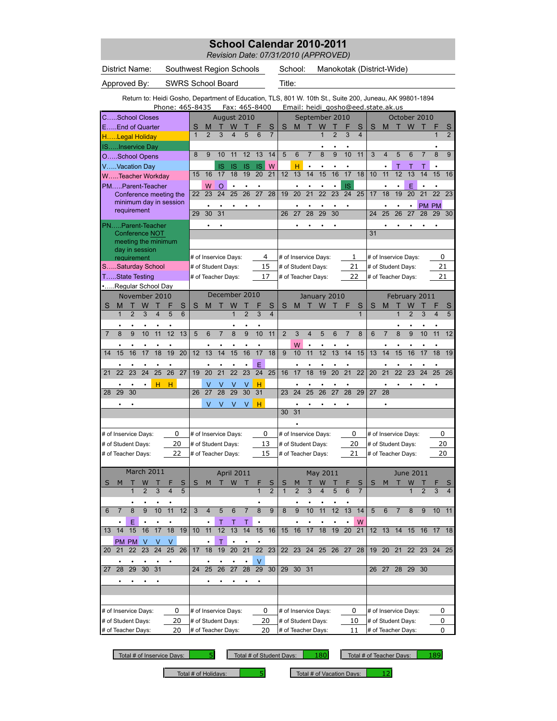*Revision Date: 07/31/2010 (APPROVED)*

| District Name:                                                         | Southwest Region Schools                        | School:                                              | Manokotak (District-Wide)                                                |                                                                                                         |
|------------------------------------------------------------------------|-------------------------------------------------|------------------------------------------------------|--------------------------------------------------------------------------|---------------------------------------------------------------------------------------------------------|
| Approved By:                                                           | <b>SWRS School Board</b>                        | Title:                                               |                                                                          |                                                                                                         |
| Phone: 465-8435                                                        | Fax: 465-8400                                   |                                                      | Email: heidi gosho@eed.state.ak.us                                       | Return to: Heidi Gosho, Department of Education, TLS, 801 W. 10th St., Suite 200, Juneau, AK 99801-1894 |
| CSchool Closes                                                         | August 2010                                     |                                                      | September 2010                                                           | October 2010                                                                                            |
| EEnd of Quarter                                                        |                                                 | S<br>М<br>S<br>6                                     | W<br>S<br>$\mathbf{1}$<br>$\overline{2}$<br>3<br>$\overline{\mathbf{4}}$ | S<br>M<br>W<br>S<br>$\overline{2}$<br>1                                                                 |
| HLegal Holiday<br>ISInservice Day                                      |                                                 |                                                      |                                                                          |                                                                                                         |
| OSchool Opens                                                          | 12<br>9<br>10<br>11<br>8                        | 13<br>14<br>6<br>5                                   | 8<br>9<br>10<br>11<br>$\overline{7}$                                     | 3<br>5<br>9<br>$\overline{4}$<br>6<br>8                                                                 |
| VVacation Day                                                          | <b>IS</b><br><b>IS</b><br><b>IS</b>             | W<br><b>IS</b><br>н<br>$\bullet$                     |                                                                          | Τ<br>т<br>т                                                                                             |
| WTeacher Workday                                                       | 19<br>16<br>18<br>15<br>17                      | 20<br>21<br>12<br>13                                 | 14<br>15<br>16<br>17<br>18                                               | 10<br>11<br>12<br>13<br>14<br>15<br>16                                                                  |
| PMParent-Teacher                                                       | W<br>$\circ$                                    |                                                      | IS                                                                       | E                                                                                                       |
| Conference meeting the<br>minimum day in session                       | 23<br>26<br>$2\overline{2}$<br>24<br>25         | 21<br>$\overline{27}$<br>28<br>19<br>20              | $\overline{22}$<br>23<br>24<br>25                                        | $\overline{18}$<br>17<br>19<br>20<br>21<br>22<br>23                                                     |
| requirement                                                            | ٠<br>٠<br>30<br>31<br>29                        | ٠<br>26<br>27                                        | ٠<br>٠<br>30<br>28<br>29                                                 | <b>PM</b><br>PM<br>$\overline{27}$<br>24<br>25<br>26<br>28<br>29<br>30                                  |
| PNParent-Teacher                                                       |                                                 |                                                      |                                                                          |                                                                                                         |
| <b>Conference NOT</b>                                                  |                                                 |                                                      |                                                                          | 31                                                                                                      |
| meeting the minimum                                                    |                                                 |                                                      |                                                                          |                                                                                                         |
| day in session<br>requirement                                          | # of Inservice Days:                            | 4<br># of Inservice Days:                            | 1                                                                        | 0<br># of Inservice Days:                                                                               |
| SSaturday School                                                       | # of Student Days:                              | 15<br># of Student Days:                             | 21                                                                       | 21<br># of Student Days:                                                                                |
| TState Testing                                                         | # of Teacher Days:                              | 17<br># of Teacher Days:                             | 22                                                                       | # of Teacher Days:<br>21                                                                                |
| Regular School Day                                                     |                                                 |                                                      |                                                                          |                                                                                                         |
| November 2010                                                          | December 2010                                   |                                                      | January 2010                                                             | February 2011                                                                                           |
| M<br>W<br>S<br>S<br>$\overline{2}$<br>3<br>5<br>6<br>$\mathbf{1}$<br>4 | S<br>M<br>$\overline{1}$<br>$\overline{2}$      | S<br>S<br>M<br>3<br>$\overline{\mathbf{4}}$          | S<br>W<br>$\mathbf{1}$                                                   | S<br>M<br>W<br>$\overline{2}$<br>5<br>1<br>3<br>$\overline{4}$                                          |
|                                                                        |                                                 |                                                      |                                                                          |                                                                                                         |
| $\overline{9}$<br>$\overline{8}$<br>10<br>11<br>12<br>13               | 8<br>$\overline{9}$<br>5<br>6<br>7              | 10<br>11<br>$\overline{2}$<br>3                      | $\overline{\mathbf{4}}$<br>5<br>6<br>8<br>$\overline{7}$                 | 8<br>9<br>6<br>10<br>11<br>12<br>$\overline{7}$                                                         |
|                                                                        |                                                 | W                                                    |                                                                          |                                                                                                         |
| 16<br>17<br>18<br>19<br>20<br>14<br>15                                 | 13<br>15<br>12<br>14<br>16                      | 17<br>11<br>18<br>9<br>10                            | 14<br>12<br>13<br>15                                                     | 13<br>16<br>14<br>15<br>18<br>19<br>17                                                                  |
|                                                                        |                                                 | E                                                    |                                                                          |                                                                                                         |
| 26<br>27<br>22<br>23<br>24<br>25<br>21                                 | 21<br>22<br>23<br>19<br>20                      | 24<br>25<br>16<br>17                                 | 19<br>21<br>22<br>18<br>20                                               | 20<br>21<br>22<br>23<br>25<br>26<br>24                                                                  |
| н<br>н<br>30<br>29<br>28                                               | V<br>$\overline{27}$<br>28<br>29<br>30<br>26    | н<br>31<br>24<br>23                                  | $\overline{25}$<br>26<br>27<br>28<br>29                                  | 27<br>28                                                                                                |
|                                                                        | $\vee$<br>V<br>V<br>V                           | н                                                    |                                                                          |                                                                                                         |
|                                                                        |                                                 | 30<br>31                                             |                                                                          |                                                                                                         |
|                                                                        |                                                 |                                                      |                                                                          |                                                                                                         |
| # of Inservice Days:<br>0                                              | # of Inservice Days:                            | 0<br># of Inservice Days:                            | 0                                                                        | 0<br># of Inservice Days:                                                                               |
| 20<br># of Student Days:                                               | # of Student Days:                              | 13<br># of Student Days:                             | 20                                                                       | 20<br># of Student Days:                                                                                |
| 22<br># of Teacher Days:                                               | # of Teacher Days:                              | 15<br># of Teacher Days:                             | 21                                                                       | 20<br># of Teacher Days:                                                                                |
| March 2011                                                             | April 2011                                      |                                                      | May 2011                                                                 | <b>June 2011</b>                                                                                        |
| W<br>M                                                                 | W<br>S<br>т<br>т<br>M                           | S                                                    | W<br>S                                                                   | т<br>W<br>S<br>м                                                                                        |
| 5<br>3                                                                 |                                                 | $\overline{2}$                                       | 5<br>3<br>4                                                              | 3<br>$\overline{\mathbf{4}}$<br>1                                                                       |
|                                                                        |                                                 |                                                      |                                                                          |                                                                                                         |
| 11<br>8<br>10<br>12<br>$\overline{7}$<br>9<br>6                        | 3<br>$\overline{4}$<br>5<br>6<br>$\overline{7}$ | 8<br>9<br>8<br>9                                     | 13<br>10<br>11<br>12 <sup>2</sup><br>14                                  | 5<br>8<br>10<br>6<br>$\overline{7}$<br>9<br>11                                                          |
| Ε<br>18<br>19<br>15<br>16<br>17                                        | т<br>Τ<br>11<br>12<br>10<br>13<br>14            | 15<br>16<br>15<br>16<br>17                           | W<br>18<br>19<br>20<br>21                                                | $12 \t13$<br>14<br>15 16<br>17<br>18                                                                    |
| 14<br>13                                                               |                                                 |                                                      |                                                                          |                                                                                                         |
| PM PM<br>V<br>24<br>25<br>26<br>22<br>23<br>20<br>21                   | 17<br>18<br>19<br>$\overline{20}$<br>21         | 22<br>23<br>23 24<br>22                              | 26 27<br>25<br>28                                                        | 19<br>20<br>21<br>22 23 24 25                                                                           |
|                                                                        |                                                 | V                                                    |                                                                          |                                                                                                         |
| 28<br>29<br>30<br>31<br>27                                             | 28<br>25<br>26<br>27<br>24                      | 29<br>30<br>29<br>30 31                              |                                                                          | 28 29 30<br>26 27                                                                                       |
| $\bullet$<br>$\bullet$                                                 | ٠                                               | $\bullet$                                            |                                                                          |                                                                                                         |
|                                                                        |                                                 |                                                      |                                                                          |                                                                                                         |
|                                                                        |                                                 |                                                      |                                                                          |                                                                                                         |
| 0<br># of Inservice Days:                                              | # of Inservice Days:                            | 0<br># of Inservice Days:                            | 0                                                                        | 0<br># of Inservice Days:                                                                               |
| # of Student Days:<br>20<br># of Teacher Days:<br>20                   | # of Student Days:<br># of Teacher Days:        | # of Student Days:<br>20<br># of Teacher Days:<br>20 | 10<br>11                                                                 | # of Student Days:<br>0<br># of Teacher Days:<br>0                                                      |

Total # of Inservice Days: | 5| Total # of Student Days: | 180| Total # of Teacher Days: | 189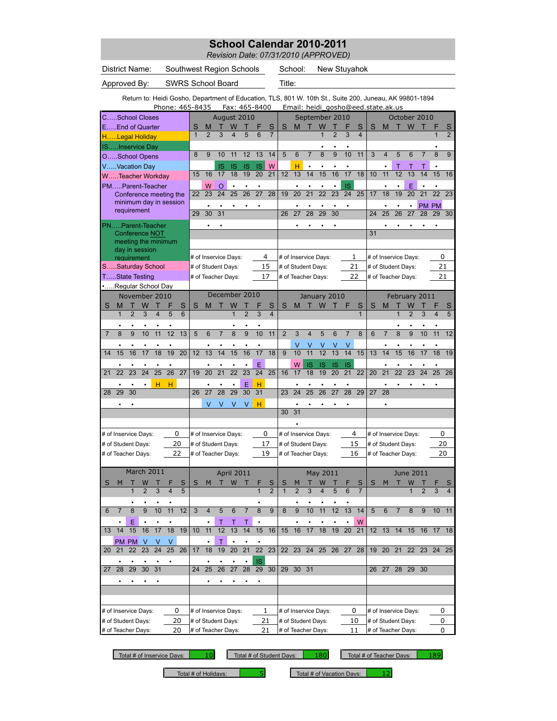*Revision Date: 07/31/2010 (APPROVED)*

| <b>District Name:</b>                                                                                   | Southwest Region Schools |                                  |                 |                                  |                 |                 | School:              |                |                         |                |                | New Stuyahok                       |                |                 |                         |                |                      |              |                |                |
|---------------------------------------------------------------------------------------------------------|--------------------------|----------------------------------|-----------------|----------------------------------|-----------------|-----------------|----------------------|----------------|-------------------------|----------------|----------------|------------------------------------|----------------|-----------------|-------------------------|----------------|----------------------|--------------|----------------|----------------|
| Approved By:                                                                                            | <b>SWRS School Board</b> |                                  |                 |                                  |                 |                 |                      |                |                         |                |                |                                    |                |                 |                         |                |                      |              |                |                |
| Return to: Heidi Gosho, Department of Education, TLS, 801 W. 10th St., Suite 200, Juneau, AK 99801-1894 | Phone: 465-8435          |                                  |                 | Fax: 465-8400                    |                 |                 |                      |                |                         |                |                | Email: heidi gosho@eed.state.ak.us |                |                 |                         |                |                      |              |                |                |
| CSchool Closes                                                                                          |                          |                                  |                 | August 2010                      |                 |                 |                      |                |                         | September 2010 |                |                                    |                |                 |                         |                | October 2010         |              |                |                |
| EEnd of Quarter                                                                                         |                          | S<br>M                           |                 | W                                |                 | S               | S                    | M              |                         | W              |                |                                    | S              | S               | M                       | т              | W                    |              |                | S              |
| HLegal Holiday                                                                                          |                          | $\overline{2}$<br>$\overline{1}$ | 3<br>4          | 5                                | 6               | $\overline{7}$  |                      |                |                         | 1              | $\overline{2}$ | 3                                  | 4              |                 |                         |                |                      |              | $\overline{1}$ | $\overline{2}$ |
| ISInservice Day                                                                                         |                          |                                  |                 |                                  |                 |                 |                      |                |                         |                |                |                                    |                |                 |                         |                |                      |              |                |                |
| OSchool Opens                                                                                           |                          | 9<br>8                           | 10              | 11<br>12                         | 13              | 14              | 5                    | 6              | $\overline{7}$          | 8              | $\overline{9}$ | 10                                 | 11             | 3               | $\overline{\mathbf{4}}$ | 5              | 6                    | 7            | 8              | 9              |
| VVacation Day                                                                                           |                          |                                  | IS              | <b>IS</b><br>IS                  | <b>IS</b>       | W               |                      | н              |                         |                |                |                                    |                |                 |                         |                | т                    |              |                |                |
| WTeacher Workdav                                                                                        |                          | 16<br>15                         | 17              | 18<br>19                         | $\overline{20}$ | $\overline{21}$ | 12                   | 13             | 14                      | 15             | 16             | 17                                 | 18             | 10              | 11                      | 12             | 13                   | 14           | 15             | 16             |
| PMParent-Teacher                                                                                        |                          | W                                | O<br>$\bullet$  |                                  |                 |                 |                      |                |                         |                |                | IS                                 |                |                 |                         |                | E                    |              | $\bullet$      |                |
| Conference meeting the                                                                                  |                          | 23<br>22                         | 24              | 25<br>26                         | 27              | 28              | 19                   | 20             | 21                      | 22             | 23             | 24                                 | 25             | 17              | 18                      | 19             | 20                   | 21           | 22             | 23             |
| minimum day in session<br>requirement                                                                   |                          |                                  |                 |                                  | ٠               |                 |                      |                |                         |                |                |                                    |                |                 |                         |                |                      | <b>PM PM</b> |                |                |
|                                                                                                         |                          | 29<br>30                         | 31              |                                  |                 |                 | 26                   | 27             | 28                      | 29             | 30             |                                    |                | 24              | 25                      | 26             | 27                   | 28           | 29             | 30             |
| PNParent-Teacher                                                                                        |                          |                                  |                 |                                  |                 |                 |                      |                |                         |                |                |                                    |                |                 |                         |                |                      |              |                |                |
| Conference NOT                                                                                          |                          |                                  |                 |                                  |                 |                 |                      |                |                         |                |                |                                    |                | 31              |                         |                |                      |              |                |                |
| meeting the minimum                                                                                     |                          |                                  |                 |                                  |                 |                 |                      |                |                         |                |                |                                    |                |                 |                         |                |                      |              |                |                |
| day in session<br>requirement                                                                           |                          | # of Inservice Days:             |                 |                                  | 4               |                 | # of Inservice Days: |                |                         |                |                | 1                                  |                |                 |                         |                | # of Inservice Days: |              | 0              |                |
| SSaturday School                                                                                        |                          | # of Student Days:               |                 |                                  | 15              |                 | # of Student Days:   |                |                         |                |                | 21                                 |                |                 | # of Student Days:      |                |                      |              | 21             |                |
| TState Testing                                                                                          |                          | # of Teacher Days:               |                 |                                  | 17              |                 | # of Teacher Days:   |                |                         |                |                | 22                                 |                |                 | # of Teacher Days:      |                |                      |              | 21             |                |
| Regular School Day                                                                                      |                          |                                  |                 |                                  |                 |                 |                      |                |                         |                |                |                                    |                |                 |                         |                |                      |              |                |                |
| November 2010                                                                                           |                          |                                  |                 | December 2010                    |                 |                 |                      |                |                         | January 2010   |                |                                    |                |                 |                         |                | February 2011        |              |                |                |
| S<br>W<br>M<br>Т                                                                                        | F<br>S                   | S<br>M                           |                 | W                                |                 | S               | S                    | M              |                         | W              |                | F                                  | S              | S               | M                       |                | W                    |              |                | S              |
| $\overline{2}$<br>3<br>$\overline{\mathbf{4}}$<br>$\mathbf{1}$                                          | 5<br>6                   |                                  |                 | $\overline{1}$<br>$\overline{2}$ | 3               | $\overline{4}$  |                      |                |                         |                |                |                                    | $\overline{1}$ |                 |                         | 1              | $\overline{2}$       | 3            | $\overline{4}$ | 5              |
|                                                                                                         |                          |                                  |                 |                                  |                 |                 |                      |                |                         |                |                |                                    |                |                 |                         |                |                      |              |                |                |
| 9<br>10<br>8<br>11<br>$\overline{7}$                                                                    | 12<br>13                 | 5<br>6                           | $\overline{7}$  | 8<br>9                           | 10              | 11              | $\overline{2}$       | 3              | $\overline{\mathbf{4}}$ | 5              | 6              | $\overline{7}$                     | 8              | 6               | $\overline{7}$          | 8              | 9                    | 10           | 11             | 12             |
|                                                                                                         |                          |                                  |                 |                                  |                 |                 |                      | ٧              |                         |                | ٧              | ٧                                  |                |                 |                         |                |                      |              |                |                |
| 15<br>16<br>17<br>18<br>14                                                                              | 19<br>20                 | 13<br>12                         | 14              | 16<br>15                         | 17              | 18              | 9                    | 10             | 11                      | 12             | 13             | 14                                 | 15             | 13              | 14                      | 15             | 16                   | 17           | 18             | 19             |
|                                                                                                         |                          |                                  |                 |                                  | E               |                 |                      | W              | IS                      | IS             | IS             | IS                                 |                |                 |                         |                |                      |              |                |                |
| 25<br>22<br>23<br>24<br>21                                                                              | 26<br>27                 | 20<br>19                         | $\overline{21}$ | 22<br>23                         | 24              | 25              | 16                   | 17             | 18                      | 19             | 20             | 21                                 | 22             | 20              | 21                      | 22             | 23                   | 24           | 25             | 26             |
| н                                                                                                       | н                        |                                  |                 | E                                | н               |                 |                      |                |                         |                |                |                                    |                |                 |                         |                |                      |              |                |                |
| 30<br>29<br>28                                                                                          |                          | 26<br>27                         | 28              | 29<br>30                         | 31              |                 | 23                   | 24             | 25                      | 26             | 27             | 28                                 | 29             | $\overline{27}$ | 28                      |                |                      |              |                |                |
|                                                                                                         |                          | V                                | V               | $\vee$<br>V                      | н               |                 |                      |                |                         |                |                |                                    |                |                 |                         |                |                      |              |                |                |
|                                                                                                         |                          |                                  |                 |                                  |                 |                 | 30                   | 31             |                         |                |                |                                    |                |                 |                         |                |                      |              |                |                |
|                                                                                                         |                          |                                  |                 |                                  |                 |                 |                      |                |                         |                |                |                                    |                |                 |                         |                |                      |              |                |                |
| # of Inservice Days:                                                                                    | 0                        | # of Inservice Days:             |                 |                                  | 0               |                 | # of Inservice Days: |                |                         |                |                | 4                                  |                |                 |                         |                | # of Inservice Days: |              | 0              |                |
| # of Student Days:                                                                                      | 20                       | # of Student Days:               |                 |                                  | 17              |                 | # of Student Days:   |                |                         |                |                | 15                                 |                |                 | # of Student Days:      |                |                      |              | 20             |                |
| # of Teacher Days:                                                                                      | 22                       | # of Teacher Days:               |                 |                                  | 19              |                 | # of Teacher Days:   |                |                         |                |                | 16                                 |                |                 | # of Teacher Days:      |                |                      |              | 20             |                |
|                                                                                                         |                          |                                  |                 |                                  |                 |                 |                      |                |                         |                |                |                                    |                |                 |                         |                |                      |              |                |                |
| March 2011                                                                                              |                          |                                  |                 | April 2011                       |                 |                 |                      |                |                         | May 2011       |                |                                    |                |                 |                         |                | June 2011            |              |                |                |
| W<br>M                                                                                                  | S                        | S<br>M                           | т               | W                                |                 | S               |                      |                |                         | W              |                |                                    | S              | S               | M                       |                | W                    |              |                |                |
| 3                                                                                                       | 5                        |                                  |                 |                                  | $\overline{1}$  | $\overline{2}$  | $\mathbf{1}$         | $\overline{2}$ | 3                       |                | 5              | 6                                  | $\overline{7}$ |                 |                         |                |                      |              | 3              | $\overline{4}$ |
|                                                                                                         |                          |                                  |                 |                                  |                 |                 |                      |                |                         |                |                |                                    |                |                 |                         |                |                      |              |                |                |
| $\overline{8}$<br>10<br>9<br>6<br>$\overline{7}$                                                        | 11<br>12                 | 3<br>$\overline{4}$              | 5               | 6<br>$\overline{7}$              | $\overline{8}$  | $\overline{9}$  | 8                    | 9              | 10                      | 11             | 12             | 13                                 | 14             | $\overline{5}$  | 6                       | $\overline{7}$ | 8                    | 9            | 10             | 11             |
| Ε                                                                                                       |                          |                                  | Τ<br>Τ          | Τ                                |                 |                 |                      |                |                         |                |                |                                    | W              |                 |                         |                |                      |              |                |                |
| 14<br>16<br>15<br>17<br>13                                                                              | 18<br>19                 | 11<br>10                         | 12              | 14<br>13                         | 15              | 16              | 15                   | 16             | 17                      | 18             | 19             | 20                                 | 21             | 12              | 13                      | 14             | 15                   | 16           | 17             | 18             |
| PM PM<br>V<br>- V                                                                                       | V                        |                                  | T               | $\bullet$                        | $\bullet$       |                 |                      |                |                         |                |                |                                    |                |                 |                         |                |                      |              |                |                |
| 23<br>22<br>24<br>20<br>21                                                                              | 25<br>26                 | 18<br>17                         | 19<br>20        | 21                               | $\overline{22}$ | 23              | 22                   | 23             | 24                      | 25             | 26             | 27                                 | 28             | 19              | 20                      | 21             | 22                   | 23           | 24             | 25             |
|                                                                                                         | ٠                        |                                  |                 |                                  | IS              |                 |                      |                |                         |                |                |                                    |                |                 |                         |                |                      |              |                |                |
| 28<br>29<br>30<br>31<br>27                                                                              |                          | 25<br>24                         | 26<br>27        | 28                               | 29              | 30              | 29                   | $30 \quad 31$  |                         |                |                |                                    |                | 26              | 27                      |                | 28 29 30             |              |                |                |
|                                                                                                         |                          |                                  |                 |                                  |                 |                 |                      |                |                         |                |                |                                    |                |                 |                         |                |                      |              |                |                |
|                                                                                                         |                          |                                  |                 |                                  |                 |                 |                      |                |                         |                |                |                                    |                |                 |                         |                |                      |              |                |                |
|                                                                                                         |                          |                                  |                 |                                  |                 |                 |                      |                |                         |                |                |                                    |                |                 |                         |                |                      |              |                |                |
| # of Inservice Days:                                                                                    | 0                        | # of Inservice Days:             |                 |                                  | 1               |                 | # of Inservice Days: |                |                         |                |                | 0                                  |                |                 |                         |                | # of Inservice Days: |              | 0              |                |
| # of Student Days:                                                                                      | 20                       | # of Student Days:               |                 |                                  | 21              |                 | # of Student Days:   |                |                         |                |                | 10                                 |                |                 | # of Student Days:      |                |                      |              | 0              |                |
| # of Teacher Days:                                                                                      | 20                       | # of Teacher Days:               |                 |                                  | 21              |                 | # of Teacher Days:   |                |                         |                |                | 11                                 |                |                 | # of Teacher Days:      |                |                      |              | 0              |                |

Total # of Inservice Days: | 10| Total # of Student Days: | 180| Total # of Teacher Days: | 189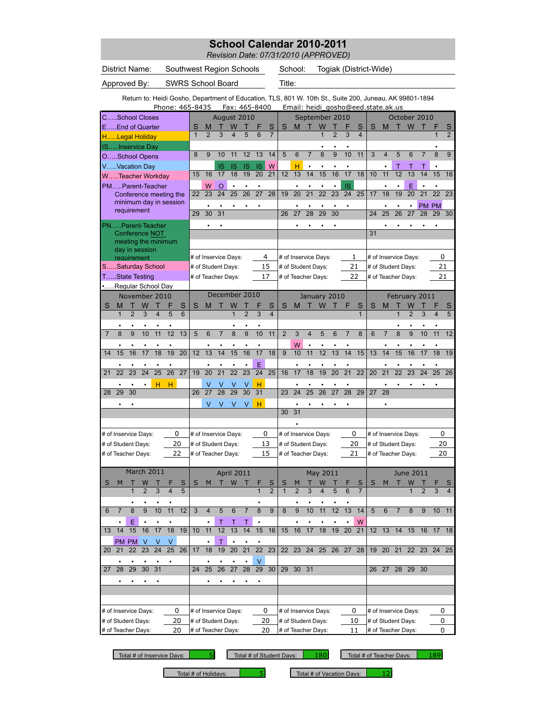*Revision Date: 07/31/2010 (APPROVED)*

| District Name:                                                                                          | Southwest Region Schools           |                |                                    |                   |                |                 |                     |                      | School:            |                 |                      |                | Togiak (District-Wide)             |                         |                 |                         |                   |                     |                 |                 |                |
|---------------------------------------------------------------------------------------------------------|------------------------------------|----------------|------------------------------------|-------------------|----------------|-----------------|---------------------|----------------------|--------------------|-----------------|----------------------|----------------|------------------------------------|-------------------------|-----------------|-------------------------|-------------------|---------------------|-----------------|-----------------|----------------|
| Approved By:                                                                                            | <b>SWRS School Board</b>           |                |                                    |                   |                |                 |                     |                      |                    |                 |                      |                |                                    |                         |                 |                         |                   |                     |                 |                 |                |
| Return to: Heidi Gosho, Department of Education, TLS, 801 W. 10th St., Suite 200, Juneau, AK 99801-1894 | Phone: 465-8435                    |                |                                    | Fax: 465-8400     |                |                 |                     |                      |                    |                 |                      |                | Email: heidi gosho@eed.state.ak.us |                         |                 |                         |                   |                     |                 |                 |                |
| CSchool Closes                                                                                          |                                    |                |                                    | August 2010       |                |                 |                     |                      |                    |                 | September 2010       |                |                                    |                         |                 |                         |                   | October 2010        |                 |                 |                |
| EEnd of Quarter                                                                                         |                                    | S              | M                                  | W                 |                |                 | S                   | S                    | М                  |                 | W                    |                |                                    | S                       | S               | M                       |                   | W                   |                 |                 |                |
| HLegal Holiday                                                                                          |                                    | $\overline{1}$ | $\overline{2}$<br>3                | 4                 | 5              | 6               | $\overline{7}$      |                      |                    |                 | $\overline{1}$       | $\overline{2}$ | 3                                  | $\overline{\mathbf{4}}$ |                 |                         |                   |                     |                 | 1               | $\overline{2}$ |
| ISInservice Day                                                                                         |                                    |                |                                    |                   |                |                 |                     |                      |                    |                 |                      |                |                                    |                         |                 |                         |                   |                     |                 |                 |                |
| OSchool Opens                                                                                           |                                    | 8              | 9<br>10                            | 11                | 12             | 13              | 14                  | 5                    | 6                  | $\overline{7}$  | 8                    | 9              | 10                                 | 11                      | 3               | $\overline{\mathbf{4}}$ | 5                 | 6                   |                 | 8               | $\overline{9}$ |
| VVacation Day                                                                                           |                                    |                | IS                                 | IS                | <b>IS</b>      | <b>IS</b>       | W                   |                      | н                  |                 |                      |                |                                    |                         |                 |                         | т                 |                     |                 |                 |                |
| WTeacher Workday                                                                                        |                                    | 15             | 16<br>17                           | 18                | 19             | 20              | 21                  | 12                   | 13                 | 14              | 15                   | 16             | 17                                 | 18                      | 10              | 11                      | 12                | 13                  | 14              | 15              | 16             |
| PMParent-Teacher                                                                                        |                                    |                | W<br>O                             | $\bullet$         |                | $\bullet$       |                     |                      | $\bullet$          | $\bullet$       |                      | $\bullet$      | <b>IS</b>                          |                         |                 | $\bullet$               | $\bullet$         | Ε                   |                 | $\bullet$       |                |
| Conference meeting the                                                                                  |                                    | 22             | 23<br>24                           | 25                | 26             | 27              | 28                  | 19                   | 20                 | $\overline{21}$ | $\overline{22}$      | 23             | 24                                 | 25                      | 17              | 18                      | 19                | $\overline{20}$     | $\overline{21}$ | 22              | 23             |
| minimum day in session                                                                                  |                                    |                |                                    |                   |                | $\bullet$       |                     |                      |                    |                 |                      |                |                                    |                         |                 |                         |                   |                     | PM PM           |                 |                |
| requirement                                                                                             |                                    | 29             | 30<br>31                           |                   |                |                 |                     | 26                   | 27                 | 28              | 29                   | 30             |                                    |                         | 24              | 25                      | 26                | 27                  | 28              | 29              | 30             |
| PNParent-Teacher                                                                                        |                                    |                |                                    |                   |                |                 |                     |                      |                    |                 |                      |                |                                    |                         |                 |                         |                   |                     |                 |                 |                |
| <b>Conference NOT</b>                                                                                   |                                    |                |                                    |                   |                |                 |                     |                      |                    |                 |                      |                |                                    |                         | 31              |                         |                   |                     |                 |                 |                |
| meeting the minimum                                                                                     |                                    |                |                                    |                   |                |                 |                     |                      |                    |                 |                      |                |                                    |                         |                 |                         |                   |                     |                 |                 |                |
| day in session                                                                                          |                                    |                |                                    |                   |                |                 | 4                   |                      |                    |                 |                      |                | 1                                  |                         |                 |                         |                   |                     |                 | 0               |                |
| requirement<br>SSaturday School                                                                         |                                    |                | # of Inservice Days:               |                   |                |                 | 15                  | # of Inservice Days: |                    |                 |                      |                | 21                                 |                         |                 | # of Inservice Days:    |                   |                     |                 | 21              |                |
| TState Testing                                                                                          |                                    |                | # of Student Days:                 |                   |                |                 |                     | # of Student Days:   |                    |                 |                      |                | 22                                 |                         |                 | # of Student Days:      |                   |                     |                 |                 |                |
|                                                                                                         |                                    |                | # of Teacher Days:                 |                   |                |                 | 17                  |                      | # of Teacher Days: |                 |                      |                |                                    |                         |                 | # of Teacher Days:      |                   |                     |                 | 21              |                |
| Regular School Day                                                                                      |                                    |                | December 2010                      |                   |                |                 |                     |                      |                    |                 |                      |                |                                    |                         |                 |                         |                   |                     |                 |                 |                |
| November 2010                                                                                           |                                    |                |                                    |                   |                |                 |                     |                      |                    |                 | January 2010         |                |                                    |                         |                 |                         |                   | February 2011       |                 |                 |                |
| M<br>т<br>W<br>S<br>т<br>$\overline{2}$<br>3<br>$\overline{\mathbf{4}}$<br>$\mathbf{1}$                 | S<br>F<br>5<br>6                   | S              | M                                  | W<br>$\mathbf{1}$ | $\overline{2}$ | 3               | S<br>$\overline{4}$ | S                    | M                  |                 | W                    |                | F                                  | S<br>$\overline{1}$     | S               | M                       | т<br>$\mathbf{1}$ | W<br>$\overline{2}$ | 3               | $\overline{4}$  | S<br>5         |
|                                                                                                         |                                    |                |                                    |                   |                |                 |                     |                      |                    |                 |                      |                |                                    |                         |                 |                         |                   |                     |                 |                 |                |
| $\overline{9}$<br>10<br>11<br>$\mathsf{8}$                                                              | 12<br>13                           | 5              | 6<br>$\overline{7}$                | $\overline{8}$    | 9              | 10              | 11                  | $\overline{2}$       | 3                  | $\overline{4}$  | 5                    | 6              | $\overline{7}$                     | $\overline{8}$          | 6               | $\overline{7}$          | $\overline{8}$    | 9                   | 10              | 11              | 12             |
|                                                                                                         |                                    |                |                                    |                   |                |                 |                     |                      |                    |                 |                      |                |                                    |                         |                 |                         |                   |                     |                 |                 |                |
|                                                                                                         | $\overline{20}$                    |                | 13                                 |                   |                |                 |                     |                      | W                  |                 | $\overline{12}$      |                | 14                                 |                         |                 |                         |                   |                     |                 |                 |                |
| 15<br>16<br>17<br>18<br>14                                                                              | 19                                 | 12             | 14                                 | 15                | 16             | 17              | 18                  | 9                    | 10                 | 11              |                      | 13             |                                    | 15                      | 13              | 14                      | 15                | 16                  | 17              | 18              | 19             |
|                                                                                                         |                                    |                |                                    |                   |                | E               |                     |                      |                    |                 |                      |                |                                    |                         |                 |                         |                   |                     |                 |                 |                |
| 23<br>24<br>25<br>22<br>21                                                                              | $\overline{26}$<br>27              | 19             | $\overline{20}$<br>$\overline{21}$ | $\overline{22}$   | 23             | $\overline{24}$ | 25                  | 16                   | 17                 | 18              | 19                   | 20             | 21                                 | 22                      | $\overline{20}$ | 21                      | 22                | 23                  | 24              | $\overline{25}$ | 26             |
| н                                                                                                       | н                                  |                |                                    |                   |                | н               |                     |                      |                    |                 |                      |                |                                    |                         |                 |                         |                   |                     |                 |                 |                |
| 30<br>29<br>28                                                                                          |                                    | 26             | 28<br>$\overline{27}$              | 29                | 30             | $\overline{31}$ |                     | 23                   | 24                 | 25              | 26                   | 27             | 28                                 | 29                      | $\overline{27}$ | 28                      |                   |                     |                 |                 |                |
|                                                                                                         |                                    |                | V<br>V                             | V                 | V              | н               |                     |                      | $\bullet$          |                 |                      |                |                                    |                         |                 |                         |                   |                     |                 |                 |                |
|                                                                                                         |                                    |                |                                    |                   |                |                 |                     | 30                   | 31                 |                 |                      |                |                                    |                         |                 |                         |                   |                     |                 |                 |                |
|                                                                                                         |                                    |                |                                    |                   |                |                 |                     |                      |                    |                 |                      |                |                                    |                         |                 |                         |                   |                     |                 |                 |                |
| # of Inservice Days:                                                                                    | 0                                  |                | # of Inservice Days:               |                   |                |                 | 0                   |                      |                    |                 | # of Inservice Days: |                | 0                                  |                         |                 | # of Inservice Days:    |                   |                     |                 | 0               |                |
| # of Student Days:                                                                                      | 20                                 |                | # of Student Days:                 |                   |                |                 | 13                  |                      | # of Student Days: |                 |                      |                | 20                                 |                         |                 | # of Student Days:      |                   |                     |                 | 20              |                |
| # of Teacher Days:                                                                                      | 22                                 |                | # of Teacher Days:                 |                   |                |                 | 15                  |                      | # of Teacher Days: |                 |                      |                | 21                                 |                         |                 | # of Teacher Days:      |                   |                     |                 | 20              |                |
|                                                                                                         |                                    |                |                                    |                   |                |                 |                     |                      |                    |                 |                      |                |                                    |                         |                 |                         |                   |                     |                 |                 |                |
| March 2011                                                                                              |                                    |                |                                    | <b>April 2011</b> |                |                 |                     |                      |                    |                 | May 2011             |                |                                    |                         |                 |                         |                   | June 2011           |                 |                 |                |
| W<br>м                                                                                                  | S                                  | S              | м<br>т                             | W                 |                |                 | S                   |                      |                    |                 | W                    |                |                                    |                         | S               | M                       |                   | W                   |                 |                 |                |
| 3                                                                                                       | 5                                  |                |                                    |                   |                |                 | $\overline{2}$      |                      |                    | 3               |                      | 5              | 6                                  | $\overline{7}$          |                 |                         |                   |                     |                 |                 | $\overline{4}$ |
|                                                                                                         |                                    |                |                                    |                   |                |                 |                     |                      |                    |                 |                      |                |                                    |                         |                 |                         |                   |                     |                 |                 |                |
| 8<br>10<br>6<br>$\overline{7}$<br>9                                                                     | 12<br>11                           | 3              | $\overline{4}$<br>5                | 6                 | $\overline{7}$ | 8               | 9                   | 8                    | 9                  | 10              | 11                   | 12             | 13                                 | 14                      | 5               | 6                       | $\overline{7}$    | 8                   | 9               | 10              | 11             |
| Ε                                                                                                       |                                    |                | $\mathsf{T}$                       | $\mathsf{T}$      | Τ              |                 |                     |                      |                    |                 |                      |                |                                    | W                       |                 |                         |                   |                     |                 |                 |                |
| 14<br>15<br>16<br>17<br>13                                                                              | 18<br>19                           | 10             | 11<br>12                           | 13                | 14             | 15              | 16                  | 15                   | 16                 | 17              | 18                   | 19             | 20                                 | 21                      | 12 <sup>2</sup> | 13                      | 14                | 15                  | 16              | 17              | 18             |
| PM PM<br>- V<br>v                                                                                       |                                    |                | T                                  |                   |                |                 |                     |                      |                    |                 |                      |                |                                    |                         |                 |                         |                   |                     |                 |                 |                |
| 23<br>$\overline{24}$<br>20 21<br>22                                                                    | $\overline{25}$<br>$\overline{26}$ | 17             | 18<br>19                           | $\overline{20}$   | 21             | 22              | 23                  | $\overline{22}$      | 23 24              |                 |                      | 25 26 27       |                                    | 28                      | $19-19$         | $\overline{20}$         | 21                |                     | 22 23           | 24              | 25             |
| $\bullet$<br>٠<br>٠<br>٠                                                                                |                                    |                |                                    |                   |                | V               |                     |                      |                    |                 |                      |                |                                    |                         |                 |                         |                   |                     |                 |                 |                |
| 29<br>30<br>31<br>26<br>28<br>25<br>27<br>24                                                            |                                    |                |                                    | $\overline{27}$   | 28             | 29              | 30                  |                      | 29 30 31           |                 |                      |                |                                    |                         |                 | 26 27                   |                   | 28 29 30            |                 |                 |                |
| $\bullet$                                                                                               |                                    |                |                                    |                   |                |                 |                     |                      |                    |                 |                      |                |                                    |                         |                 |                         |                   |                     |                 |                 |                |
|                                                                                                         |                                    |                |                                    |                   |                |                 |                     |                      |                    |                 |                      |                |                                    |                         |                 |                         |                   |                     |                 |                 |                |
|                                                                                                         |                                    |                |                                    |                   |                |                 |                     |                      |                    |                 |                      |                |                                    |                         |                 |                         |                   |                     |                 |                 |                |
| # of Inservice Days:                                                                                    | 0                                  |                | # of Inservice Days:               |                   |                |                 | 0                   |                      |                    |                 | # of Inservice Days: |                | 0                                  |                         |                 | # of Inservice Days:    |                   |                     |                 | 0               |                |
| # of Student Days:                                                                                      | 20                                 |                | # of Student Days:                 |                   |                |                 | 20                  |                      | # of Student Days: |                 |                      |                | 10                                 |                         |                 | # of Student Days:      |                   |                     |                 | 0               |                |
| # of Teacher Days:                                                                                      | 20                                 |                | # of Teacher Days:                 |                   |                |                 | 20                  |                      | # of Teacher Days: |                 |                      |                | 11                                 |                         |                 | # of Teacher Days:      |                   |                     |                 | 0               |                |

Total # of Inservice Days: | 5| Total # of Student Days: | 180| Total # of Teacher Days: | 189